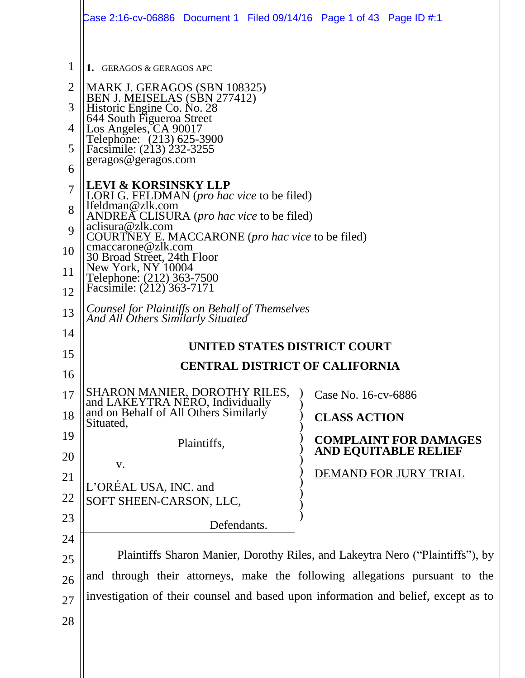|                   | Case 2:16-cv-06886  Document 1  Filed 09/14/16  Page 1 of 43  Page ID #:1               |  |  |  |  |  |
|-------------------|-----------------------------------------------------------------------------------------|--|--|--|--|--|
| $\mathbf{1}$<br>2 | 1. GERAGOS & GERAGOS APC<br>MARK J. GERAGOS (SBN 108325)                                |  |  |  |  |  |
| 3                 | BEN J. MEISELAS (SBN 277412)<br>Historic Engine Co. No. 28<br>644 South Figueroa Street |  |  |  |  |  |
| 4                 |                                                                                         |  |  |  |  |  |
| 5                 | Los Angeles, CA 90017<br>Telephone: (213) 625-3900<br>Facsimile: (213) 232-3255         |  |  |  |  |  |
| 6                 | geragos@geragos.com                                                                     |  |  |  |  |  |
| $\overline{7}$    | <b>LEVI &amp; KORSINSKY LLP</b><br>LORI G. FELDMAN ( <i>pro hac vice</i> to be filed)   |  |  |  |  |  |
| 8                 | lfeldman@zlk.com<br>ANDREA CLISURA ( <i>pro hac vice</i> to be filed)                   |  |  |  |  |  |
| 9                 | aclisura@zlk.com<br>COURTNEY E. MACCARONE ( <i>pro hac vice</i> to be filed)            |  |  |  |  |  |
| 10                | cmaccarone@zlk.com<br>30 Broad Street, 24th Floor                                       |  |  |  |  |  |
| 11                | New York, NY 10004<br>Telephone: (212) 363-7500<br>Facsimile: (212) 363-7171            |  |  |  |  |  |
| 12                |                                                                                         |  |  |  |  |  |
| 13                | Counsel for Plaintiffs on Behalf of Themselves<br>And All Others Similarly Situated     |  |  |  |  |  |
| 14                | UNITED STATES DISTRICT COURT                                                            |  |  |  |  |  |
| 15                | <b>CENTRAL DISTRICT OF CALIFORNIA</b>                                                   |  |  |  |  |  |
| 16                |                                                                                         |  |  |  |  |  |
| 17                | SHARON MANIER, DOROTHY RILES,<br>Case No. 16-cv-6886<br>and LAKEYTRA NERO, Individually |  |  |  |  |  |
| 18                | and on Behalf of All Others Similarly<br><b>CLASS ACTION</b><br>Situated,               |  |  |  |  |  |
| 19                | <b>COMPLAINT FOR DAMAGES</b><br>Plaintiffs,                                             |  |  |  |  |  |
| 20                | <b>AND EQUITABLE RELIEF</b><br>V.                                                       |  |  |  |  |  |
| 21                | DEMAND FOR JURY TRIAL<br>L'ORÉAL USA, INC. and                                          |  |  |  |  |  |
| 22                | SOFT SHEEN-CARSON, LLC,                                                                 |  |  |  |  |  |
| 23                | Defendants.                                                                             |  |  |  |  |  |
| 24                |                                                                                         |  |  |  |  |  |
| 25                | Plaintiffs Sharon Manier, Dorothy Riles, and Lakeytra Nero ("Plaintiffs"), by           |  |  |  |  |  |
| 26                | and through their attorneys, make the following allegations pursuant to the             |  |  |  |  |  |
| 27                | investigation of their counsel and based upon information and belief, except as to      |  |  |  |  |  |
| 28                |                                                                                         |  |  |  |  |  |
|                   |                                                                                         |  |  |  |  |  |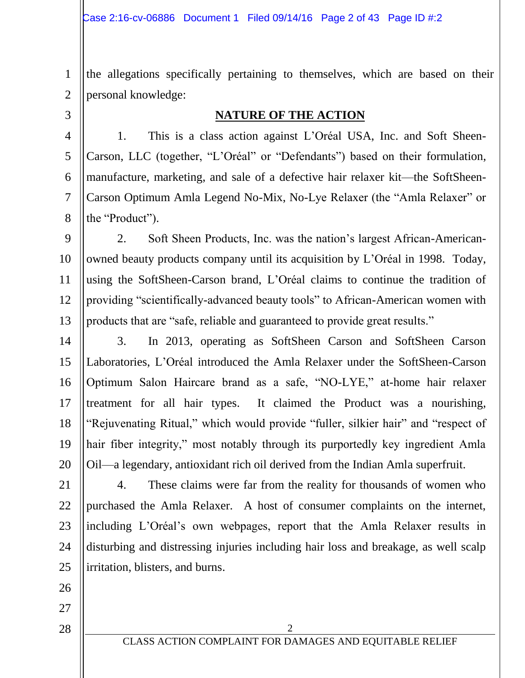1 2 the allegations specifically pertaining to themselves, which are based on their personal knowledge:

3

5

7

8

#### **NATURE OF THE ACTION**

4 6 1. This is a class action against L'Oréal USA, Inc. and Soft Sheen-Carson, LLC (together, "L'Oréal" or "Defendants") based on their formulation, manufacture, marketing, and sale of a defective hair relaxer kit—the SoftSheen-Carson Optimum Amla Legend No-Mix, No-Lye Relaxer (the "Amla Relaxer" or the "Product").

9 10 11 12 13 2. Soft Sheen Products, Inc. was the nation's largest African-Americanowned beauty products company until its acquisition by L'Oréal in 1998. Today, using the SoftSheen-Carson brand, L'Oréal claims to continue the tradition of providing "scientifically-advanced beauty tools" to African-American women with products that are "safe, reliable and guaranteed to provide great results."

14 15 16 17 18 19 20 3. In 2013, operating as SoftSheen Carson and SoftSheen Carson Laboratories, L'Oréal introduced the Amla Relaxer under the SoftSheen-Carson Optimum Salon Haircare brand as a safe, "NO-LYE," at-home hair relaxer treatment for all hair types. It claimed the Product was a nourishing, "Rejuvenating Ritual," which would provide "fuller, silkier hair" and "respect of hair fiber integrity," most notably through its purportedly key ingredient Amla Oil—a legendary, antioxidant rich oil derived from the Indian Amla superfruit.

21 22 23 24 25 4. These claims were far from the reality for thousands of women who purchased the Amla Relaxer. A host of consumer complaints on the internet, including L'Oréal's own webpages, report that the Amla Relaxer results in disturbing and distressing injuries including hair loss and breakage, as well scalp irritation, blisters, and burns.

26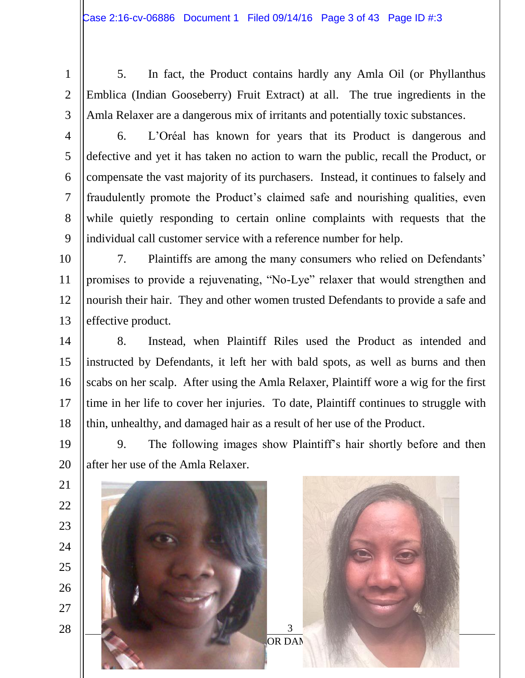- 1 2
- 3

5. In fact, the Product contains hardly any Amla Oil (or Phyllanthus Emblica (Indian Gooseberry) Fruit Extract) at all. The true ingredients in the Amla Relaxer are a dangerous mix of irritants and potentially toxic substances.

4 5

6

7

8

9

19

20

6. L'Oréal has known for years that its Product is dangerous and defective and yet it has taken no action to warn the public, recall the Product, or compensate the vast majority of its purchasers. Instead, it continues to falsely and fraudulently promote the Product's claimed safe and nourishing qualities, even while quietly responding to certain online complaints with requests that the individual call customer service with a reference number for help.

10 11 12 13 7. Plaintiffs are among the many consumers who relied on Defendants' promises to provide a rejuvenating, "No-Lye" relaxer that would strengthen and nourish their hair. They and other women trusted Defendants to provide a safe and effective product.

14 15 16 17 18 8. Instead, when Plaintiff Riles used the Product as intended and instructed by Defendants, it left her with bald spots, as well as burns and then scabs on her scalp. After using the Amla Relaxer, Plaintiff wore a wig for the first time in her life to cover her injuries. To date, Plaintiff continues to struggle with thin, unhealthy, and damaged hair as a result of her use of the Product.

9. The following images show Plaintiff's hair shortly before and then after her use of the Amla Relaxer.

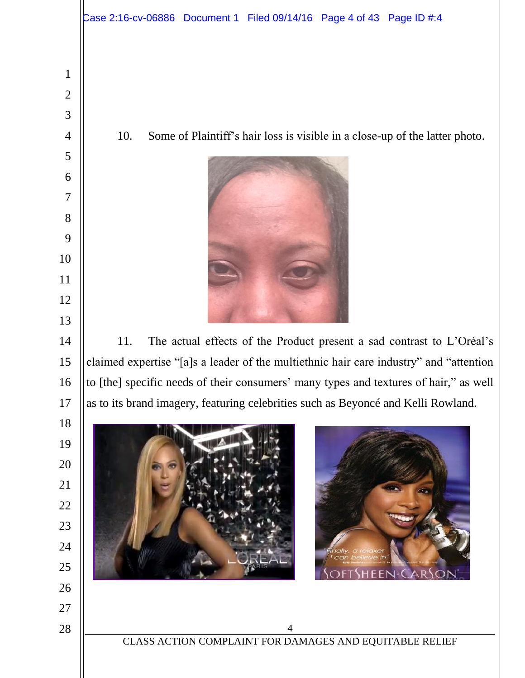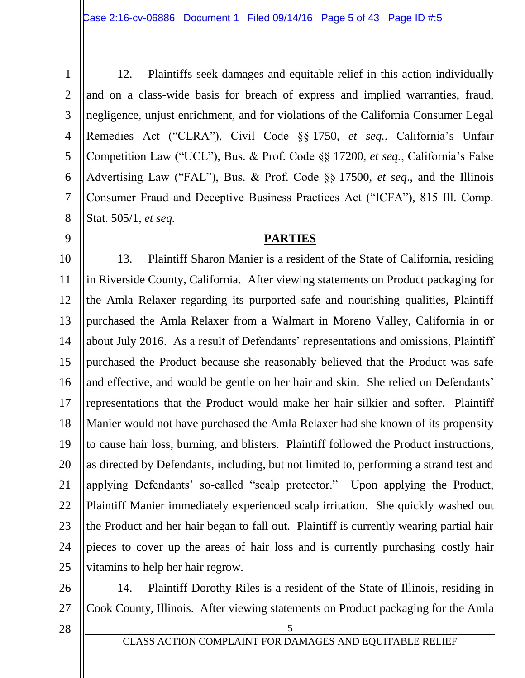1 2 3 4 5 6 7 8 12. Plaintiffs seek damages and equitable relief in this action individually and on a class-wide basis for breach of express and implied warranties, fraud, negligence, unjust enrichment, and for violations of the California Consumer Legal Remedies Act ("CLRA"), Civil Code §§ 1750, *et seq.*, California's Unfair Competition Law ("UCL"), Bus. & Prof. Code §§ 17200, *et seq.*, California's False Advertising Law ("FAL"), Bus. & Prof. Code §§ 17500, *et seq*., and the Illinois Consumer Fraud and Deceptive Business Practices Act ("ICFA"), 815 Ill. Comp. Stat. 505/1, *et seq.*

#### **PARTIES**

10 11 12 13 14 15 16 17 18 19 20 21 22 23 24 25 13. Plaintiff Sharon Manier is a resident of the State of California, residing in Riverside County, California. After viewing statements on Product packaging for the Amla Relaxer regarding its purported safe and nourishing qualities, Plaintiff purchased the Amla Relaxer from a Walmart in Moreno Valley, California in or about July 2016. As a result of Defendants' representations and omissions, Plaintiff purchased the Product because she reasonably believed that the Product was safe and effective, and would be gentle on her hair and skin. She relied on Defendants' representations that the Product would make her hair silkier and softer. Plaintiff Manier would not have purchased the Amla Relaxer had she known of its propensity to cause hair loss, burning, and blisters. Plaintiff followed the Product instructions, as directed by Defendants, including, but not limited to, performing a strand test and applying Defendants' so-called "scalp protector." Upon applying the Product, Plaintiff Manier immediately experienced scalp irritation. She quickly washed out the Product and her hair began to fall out. Plaintiff is currently wearing partial hair pieces to cover up the areas of hair loss and is currently purchasing costly hair vitamins to help her hair regrow.

26 27

9

14. Plaintiff Dorothy Riles is a resident of the State of Illinois, residing in Cook County, Illinois. After viewing statements on Product packaging for the Amla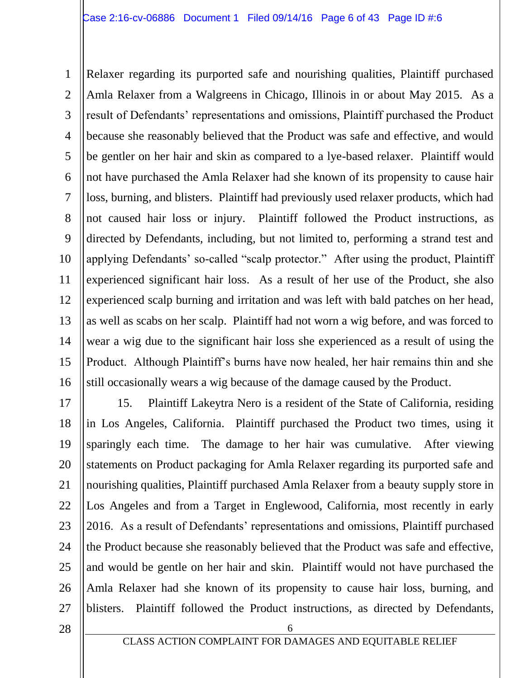1 2 3 4 5 6 7 8 9 10 11 12 13 14 15 16 Relaxer regarding its purported safe and nourishing qualities, Plaintiff purchased Amla Relaxer from a Walgreens in Chicago, Illinois in or about May 2015. As a result of Defendants' representations and omissions, Plaintiff purchased the Product because she reasonably believed that the Product was safe and effective, and would be gentler on her hair and skin as compared to a lye-based relaxer. Plaintiff would not have purchased the Amla Relaxer had she known of its propensity to cause hair loss, burning, and blisters. Plaintiff had previously used relaxer products, which had not caused hair loss or injury. Plaintiff followed the Product instructions, as directed by Defendants, including, but not limited to, performing a strand test and applying Defendants' so-called "scalp protector." After using the product, Plaintiff experienced significant hair loss. As a result of her use of the Product, she also experienced scalp burning and irritation and was left with bald patches on her head, as well as scabs on her scalp. Plaintiff had not worn a wig before, and was forced to wear a wig due to the significant hair loss she experienced as a result of using the Product. Although Plaintiff's burns have now healed, her hair remains thin and she still occasionally wears a wig because of the damage caused by the Product.

17 18 19 20 21 22 23 24 25 26 27 15. Plaintiff Lakeytra Nero is a resident of the State of California, residing in Los Angeles, California. Plaintiff purchased the Product two times, using it sparingly each time. The damage to her hair was cumulative. After viewing statements on Product packaging for Amla Relaxer regarding its purported safe and nourishing qualities, Plaintiff purchased Amla Relaxer from a beauty supply store in Los Angeles and from a Target in Englewood, California, most recently in early 2016. As a result of Defendants' representations and omissions, Plaintiff purchased the Product because she reasonably believed that the Product was safe and effective, and would be gentle on her hair and skin. Plaintiff would not have purchased the Amla Relaxer had she known of its propensity to cause hair loss, burning, and blisters. Plaintiff followed the Product instructions, as directed by Defendants,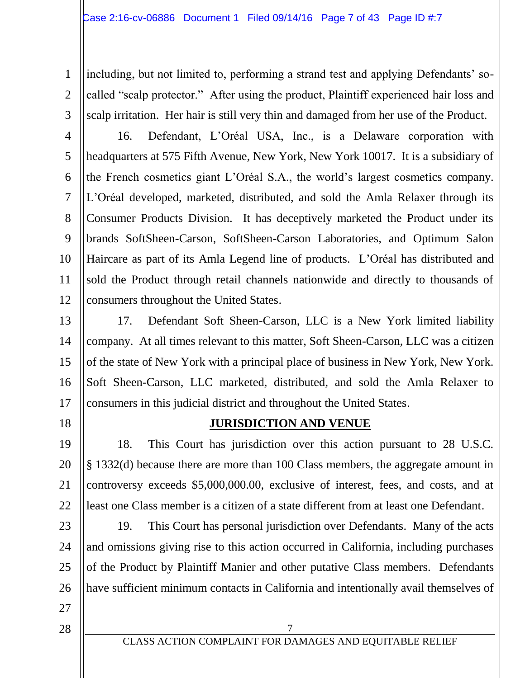including, but not limited to, performing a strand test and applying Defendants' socalled "scalp protector." After using the product, Plaintiff experienced hair loss and scalp irritation. Her hair is still very thin and damaged from her use of the Product.

5 6 8 9 10 12 16. Defendant, L'Oréal USA, Inc., is a Delaware corporation with headquarters at 575 Fifth Avenue, New York, New York 10017. It is a subsidiary of the French cosmetics giant L'Oréal S.A., the world's largest cosmetics company. L'Oréal developed, marketed, distributed, and sold the Amla Relaxer through its Consumer Products Division. It has deceptively marketed the Product under its brands SoftSheen-Carson, SoftSheen-Carson Laboratories, and Optimum Salon Haircare as part of its Amla Legend line of products. L'Oréal has distributed and sold the Product through retail channels nationwide and directly to thousands of consumers throughout the United States.

13 14 15 16 17 17. Defendant Soft Sheen-Carson, LLC is a New York limited liability company. At all times relevant to this matter, Soft Sheen-Carson, LLC was a citizen of the state of New York with a principal place of business in New York, New York. Soft Sheen-Carson, LLC marketed, distributed, and sold the Amla Relaxer to consumers in this judicial district and throughout the United States.

18

1

2

3

4

7

11

#### **JURISDICTION AND VENUE**

19 20 21 22 18. This Court has jurisdiction over this action pursuant to 28 U.S.C. § 1332(d) because there are more than 100 Class members, the aggregate amount in controversy exceeds \$5,000,000.00, exclusive of interest, fees, and costs, and at least one Class member is a citizen of a state different from at least one Defendant.

23 24 25 26 19. This Court has personal jurisdiction over Defendants. Many of the acts and omissions giving rise to this action occurred in California, including purchases of the Product by Plaintiff Manier and other putative Class members. Defendants have sufficient minimum contacts in California and intentionally avail themselves of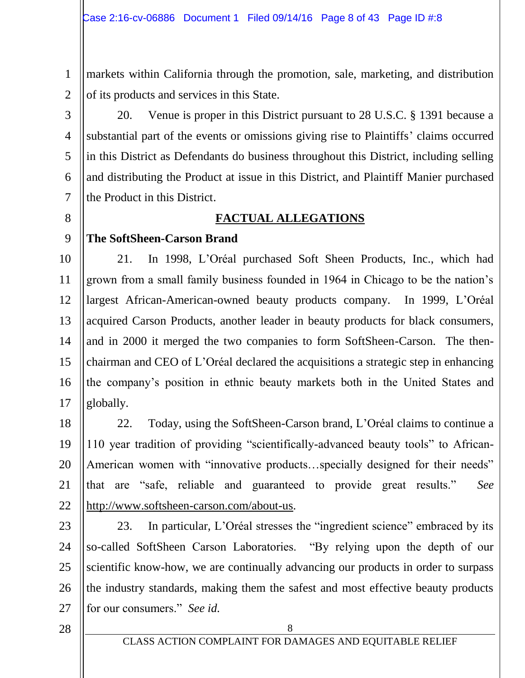1 2 markets within California through the promotion, sale, marketing, and distribution of its products and services in this State.

3 4 5 6 20. Venue is proper in this District pursuant to 28 U.S.C. § 1391 because a substantial part of the events or omissions giving rise to Plaintiffs' claims occurred in this District as Defendants do business throughout this District, including selling and distributing the Product at issue in this District, and Plaintiff Manier purchased the Product in this District.

8

7

# **FACTUAL ALLEGATIONS**

#### 9 **The SoftSheen-Carson Brand**

10 11 12 13 14 15 16 17 21. In 1998, L'Oréal purchased Soft Sheen Products, Inc., which had grown from a small family business founded in 1964 in Chicago to be the nation's largest African-American-owned beauty products company. In 1999, L'Oréal acquired Carson Products, another leader in beauty products for black consumers, and in 2000 it merged the two companies to form SoftSheen-Carson. The thenchairman and CEO of L'Oréal declared the acquisitions a strategic step in enhancing the company's position in ethnic beauty markets both in the United States and globally.

18 19 20 21 22 22. Today, using the SoftSheen-Carson brand, L'Oréal claims to continue a 110 year tradition of providing "scientifically-advanced beauty tools" to African-American women with "innovative products…specially designed for their needs" that are "safe, reliable and guaranteed to provide great results." *See* [http://www.softsheen-carson.com/about-us.](http://www.softsheen-carson.com/about-us)

23 24 25 26 27 23. In particular, L'Oréal stresses the "ingredient science" embraced by its so-called SoftSheen Carson Laboratories. "By relying upon the depth of our scientific know-how, we are continually advancing our products in order to surpass the industry standards, making them the safest and most effective beauty products for our consumers." *See id.*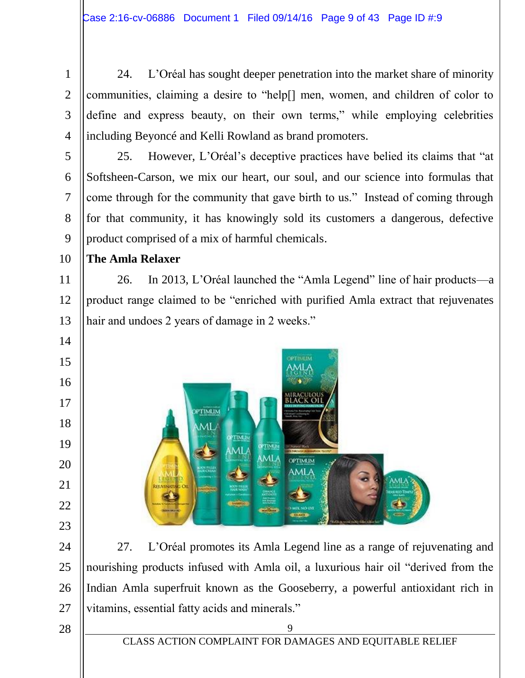24. L'Oréal has sought deeper penetration into the market share of minority communities, claiming a desire to "help[] men, women, and children of color to define and express beauty, on their own terms," while employing celebrities including Beyoncé and Kelli Rowland as brand promoters.

 25. However, L'Oréal's deceptive practices have belied its claims that "at Softsheen-Carson, we mix our heart, our soul, and our science into formulas that come through for the community that gave birth to us." Instead of coming through for that community, it has knowingly sold its customers a dangerous, defective product comprised of a mix of harmful chemicals.

 **The Amla Relaxer**

 26. In 2013, L'Oréal launched the "Amla Legend" line of hair products—a product range claimed to be "enriched with purified Amla extract that rejuvenates hair and undoes 2 years of damage in 2 weeks."



 27. L'Oréal promotes its Amla Legend line as a range of rejuvenating and nourishing products infused with Amla oil, a luxurious hair oil "derived from the Indian Amla superfruit known as the Gooseberry, a powerful antioxidant rich in vitamins, essential fatty acids and minerals."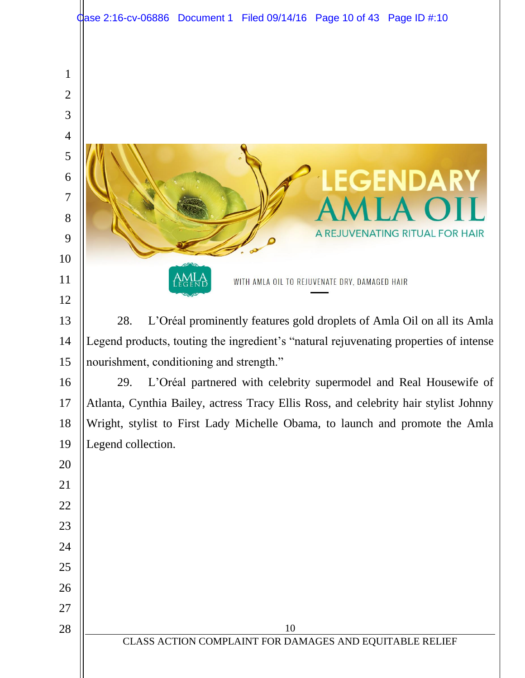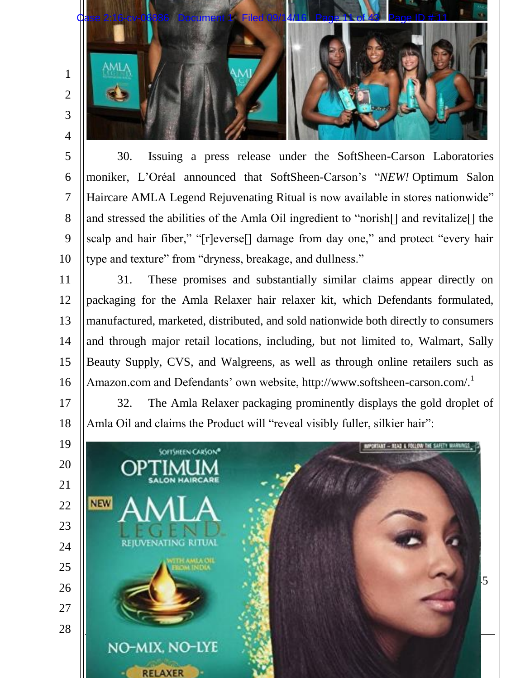

30. Issuing a press release under the SoftSheen-Carson Laboratories moniker, L'Oréal announced that SoftSheen-Carson's "*NEW!* Optimum Salon Haircare AMLA Legend Rejuvenating Ritual is now available in stores nationwide" and stressed the abilities of the Amla Oil ingredient to "norish[] and revitalize[] the scalp and hair fiber," "[r]everse<sup>[]</sup> damage from day one," and protect "every hair type and texture" from "dryness, breakage, and dullness."

5

6

7

8

9

10

17

18

11 12 13 14 15 16 31. These promises and substantially similar claims appear directly on packaging for the Amla Relaxer hair relaxer kit, which Defendants formulated, manufactured, marketed, distributed, and sold nationwide both directly to consumers and through major retail locations, including, but not limited to, Walmart, Sally Beauty Supply, CVS, and Walgreens, as well as through online retailers such as Amazon.com and Defendants' own website, [http://www.softsheen-carson.com/.](http://www.softsheen-carson.com/)<sup>1</sup>

32. The Amla Relaxer packaging prominently displays the gold droplet of Amla Oil and claims the Product will "reveal visibly fuller, silkier hair":

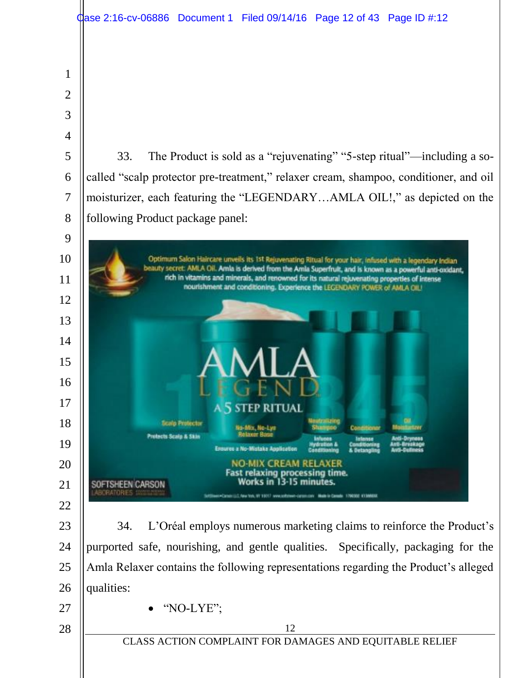|                | dase 2:16-cv-06886 Document 1 Filed 09/14/16 Page 12 of 43 Page ID #:12                                                                                                                                       |
|----------------|---------------------------------------------------------------------------------------------------------------------------------------------------------------------------------------------------------------|
| 1              |                                                                                                                                                                                                               |
| $\overline{2}$ |                                                                                                                                                                                                               |
| 3              |                                                                                                                                                                                                               |
| 4              |                                                                                                                                                                                                               |
| 5              | The Product is sold as a "rejuvenating" "5-step ritual"—including a so-<br>33.                                                                                                                                |
| 6              | called "scalp protector pre-treatment," relaxer cream, shampoo, conditioner, and oil                                                                                                                          |
| $\overline{7}$ | moisturizer, each featuring the "LEGENDARYAMLA OIL!," as depicted on the                                                                                                                                      |
| 8              | following Product package panel:                                                                                                                                                                              |
| 9              |                                                                                                                                                                                                               |
| 10             | Optimum Salon Haircare unveils its 1st Rejuvenating Ritual for your hair, infused with a legendary Indian                                                                                                     |
| 11             | beauty secret: AMLA Oil. Amla is derived from the Amla Superfruit, and is known as a powerful anti-oxidant,<br>rich in vitamins and minerals, and renowned for its natural rejuvenating properties of intense |
| 12             | nourishment and conditioning. Experience the LEGENDARY POWER of AMLA OIL!                                                                                                                                     |
| 13             |                                                                                                                                                                                                               |
| 14             |                                                                                                                                                                                                               |
| 15             |                                                                                                                                                                                                               |
| 16             |                                                                                                                                                                                                               |
| 17             | A 5 STEP RITUAL                                                                                                                                                                                               |
| 18             | Neutraliains<br><b>Scalp Protector</b><br>No-Mix, No-Lye<br>Shampoo<br>Conditioner                                                                                                                            |
| 19             | <b>Relaxer Base</b><br><b>Protects Scalp &amp; Skin</b><br><b>Infunes</b><br>latorsa<br>lutti-Drymose<br>Ensures a No-Mistake Application                                                                     |
| 20             | <b>NO-MIX CREAM RELAXER</b><br><b>Fast relaxing processing time.</b>                                                                                                                                          |
| 21             | Works in 13-15 minutes.<br>SOFTSHEEN CARSON<br>BORATORIES<br>SUSTENBORO CONSON (2.0, New York, WY 1901) www.softsteam-current.com Mixille to Conside 1700300 4/13M6030                                        |
| 22             |                                                                                                                                                                                                               |
| 23             | L'Oréal employs numerous marketing claims to reinforce the Product's<br>34.                                                                                                                                   |
| 24             | purported safe, nourishing, and gentle qualities. Specifically, packaging for the                                                                                                                             |
| 25             | Amla Relaxer contains the following representations regarding the Product's alleged                                                                                                                           |
| 26             | qualities:                                                                                                                                                                                                    |
| 27             | "NO-LYE";                                                                                                                                                                                                     |
| 28             | 12<br>CLASS ACTION COMPLAINT FOR DAMAGES AND EQUITABLE RELIEF                                                                                                                                                 |
|                |                                                                                                                                                                                                               |
|                |                                                                                                                                                                                                               |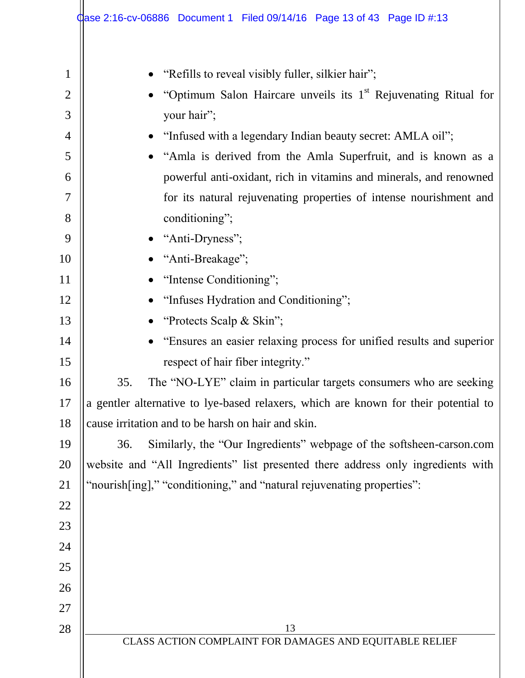|                                                                                                                                                  | <b>‡ase 2:16-cv-06886 Document 1 Filed 09/14/16 Page 13 of 43 Page ID #:13</b>                                                                                                                                                                                                                                                                                                                                                                                                                                                                                                                                                                                                                                                                                                                                                                                                                                                                                                                                                                                                                                                                                         |
|--------------------------------------------------------------------------------------------------------------------------------------------------|------------------------------------------------------------------------------------------------------------------------------------------------------------------------------------------------------------------------------------------------------------------------------------------------------------------------------------------------------------------------------------------------------------------------------------------------------------------------------------------------------------------------------------------------------------------------------------------------------------------------------------------------------------------------------------------------------------------------------------------------------------------------------------------------------------------------------------------------------------------------------------------------------------------------------------------------------------------------------------------------------------------------------------------------------------------------------------------------------------------------------------------------------------------------|
| 1<br>$\overline{2}$<br>3<br>4<br>5<br>6<br>7<br>8<br>9<br>10<br>11<br>12<br>13<br>14<br>15<br>16<br>17<br>18<br>19<br>20<br>21<br>22<br>23<br>24 | "Refills to reveal visibly fuller, silkier hair";<br>"Optimum Salon Haircare unveils its 1 <sup>st</sup> Rejuvenating Ritual for<br>your hair";<br>"Infused with a legendary Indian beauty secret: AMLA oil";<br>"Amla is derived from the Amla Superfruit, and is known as a<br>powerful anti-oxidant, rich in vitamins and minerals, and renowned<br>for its natural rejuvenating properties of intense nourishment and<br>conditioning";<br>"Anti-Dryness";<br>"Anti-Breakage";<br>"Intense Conditioning";<br>"Infuses Hydration and Conditioning";<br>"Protects Scalp & Skin";<br>"Ensures an easier relaxing process for unified results and superior<br>respect of hair fiber integrity."<br>The "NO-LYE" claim in particular targets consumers who are seeking<br>35.<br>a gentler alternative to lye-based relaxers, which are known for their potential to<br>cause irritation and to be harsh on hair and skin.<br>Similarly, the "Our Ingredients" webpage of the softsheen-carson.com<br>36.<br>website and "All Ingredients" list presented there address only ingredients with<br>"nourish[ing]," "conditioning," and "natural rejuvenating properties": |
| 25                                                                                                                                               |                                                                                                                                                                                                                                                                                                                                                                                                                                                                                                                                                                                                                                                                                                                                                                                                                                                                                                                                                                                                                                                                                                                                                                        |
| 26                                                                                                                                               |                                                                                                                                                                                                                                                                                                                                                                                                                                                                                                                                                                                                                                                                                                                                                                                                                                                                                                                                                                                                                                                                                                                                                                        |
| 27                                                                                                                                               |                                                                                                                                                                                                                                                                                                                                                                                                                                                                                                                                                                                                                                                                                                                                                                                                                                                                                                                                                                                                                                                                                                                                                                        |
| 28                                                                                                                                               | 13                                                                                                                                                                                                                                                                                                                                                                                                                                                                                                                                                                                                                                                                                                                                                                                                                                                                                                                                                                                                                                                                                                                                                                     |
|                                                                                                                                                  | CLASS ACTION COMPLAINT FOR DAMAGES AND EQUITABLE RELIEF                                                                                                                                                                                                                                                                                                                                                                                                                                                                                                                                                                                                                                                                                                                                                                                                                                                                                                                                                                                                                                                                                                                |
|                                                                                                                                                  |                                                                                                                                                                                                                                                                                                                                                                                                                                                                                                                                                                                                                                                                                                                                                                                                                                                                                                                                                                                                                                                                                                                                                                        |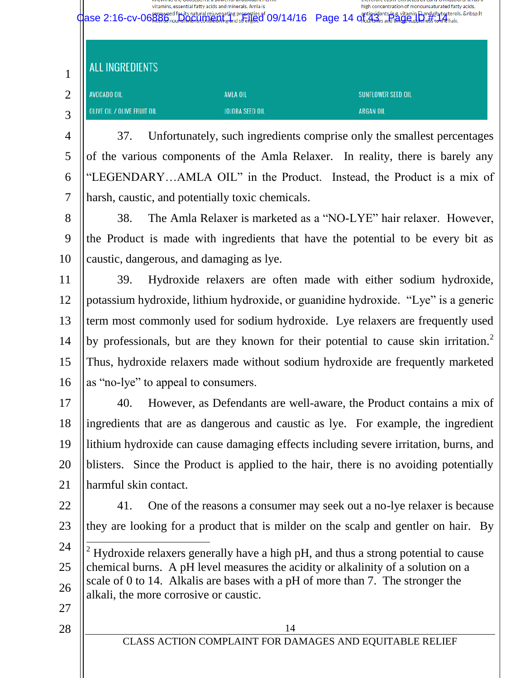vitamins, essential fatty acids and minerals. Amla is high concentration of monounsaturated fatty acids, Case 2:16-cv-06886 Document 1 Filed 09/14/16 Page 14 of 43 Page ID #:14**ALL INGREDIENTS** 1 AVOCADO OIL 2 AMLA OIL SUNFLOWER SEED OIL OLIVE OIL / OLIVE FRUIT OIL JOJOBA SEED OIL **ARGAN OIL** 3

4 5 6 7 37. Unfortunately, such ingredients comprise only the smallest percentages of the various components of the Amla Relaxer. In reality, there is barely any "LEGENDARY…AMLA OIL" in the Product. Instead, the Product is a mix of harsh, caustic, and potentially toxic chemicals.

8 9 10 38. The Amla Relaxer is marketed as a "NO-LYE" hair relaxer. However, the Product is made with ingredients that have the potential to be every bit as caustic, dangerous, and damaging as lye.

11 12 13 14 15 16 39. Hydroxide relaxers are often made with either sodium hydroxide, potassium hydroxide, lithium hydroxide, or guanidine hydroxide. "Lye" is a generic term most commonly used for sodium hydroxide. Lye relaxers are frequently used by professionals, but are they known for their potential to cause skin irritation.<sup>2</sup> Thus, hydroxide relaxers made without sodium hydroxide are frequently marketed as "no-lye" to appeal to consumers.

17 18 19 20 21 40. However, as Defendants are well-aware, the Product contains a mix of ingredients that are as dangerous and caustic as lye. For example, the ingredient lithium hydroxide can cause damaging effects including severe irritation, burns, and blisters. Since the Product is applied to the hair, there is no avoiding potentially harmful skin contact.

22

23 41. One of the reasons a consumer may seek out a no-lye relaxer is because they are looking for a product that is milder on the scalp and gentler on hair. By

- 24 25 26 l <sup>2</sup> Hydroxide relaxers generally have a high pH, and thus a strong potential to cause chemical burns. A pH level measures the acidity or alkalinity of a solution on a scale of 0 to 14. Alkalis are bases with a pH of more than 7. The stronger the alkali, the more corrosive or caustic.
- 27 28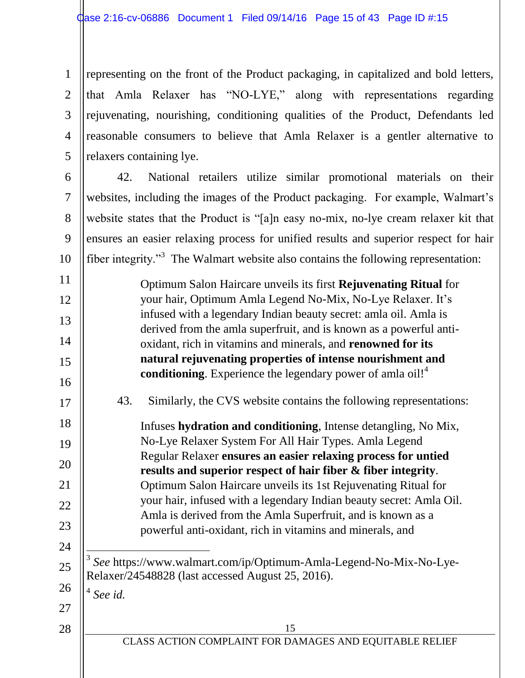1 2 3 4 5 representing on the front of the Product packaging, in capitalized and bold letters, that Amla Relaxer has "NO-LYE," along with representations regarding rejuvenating, nourishing, conditioning qualities of the Product, Defendants led reasonable consumers to believe that Amla Relaxer is a gentler alternative to relaxers containing lye.

6 7 8 9 10 42. National retailers utilize similar promotional materials on their websites, including the images of the Product packaging. For example, Walmart's website states that the Product is "[a]n easy no-mix, no-lye cream relaxer kit that ensures an easier relaxing process for unified results and superior respect for hair fiber integrity."<sup>3</sup> The Walmart website also contains the following representation:

15 11 12 13 14 15 16 17 18 19 20 21 22 23 24 25 26 27 28 Optimum Salon Haircare unveils its first **Rejuvenating Ritual** for your hair, Optimum Amla Legend No-Mix, No-Lye Relaxer. It's infused with a legendary Indian beauty secret: amla oil. Amla is derived from the amla superfruit, and is known as a powerful antioxidant, rich in vitamins and minerals, and **renowned for its natural rejuvenating properties of intense nourishment and conditioning**. Experience the legendary power of amla oil!<sup>4</sup> 43. Similarly, the CVS website contains the following representations: Infuses **hydration and conditioning**, Intense detangling, No Mix, No-Lye Relaxer System For All Hair Types. Amla Legend Regular Relaxer **ensures an easier relaxing process for untied results and superior respect of hair fiber & fiber integrity**. Optimum Salon Haircare unveils its 1st Rejuvenating Ritual for your hair, infused with a legendary Indian beauty secret: Amla Oil. Amla is derived from the Amla Superfruit, and is known as a powerful anti-oxidant, rich in vitamins and minerals, and l 3 *See* https://www.walmart.com/ip/Optimum-Amla-Legend-No-Mix-No-Lye-Relaxer/24548828 (last accessed August 25, 2016). 4 *See id.*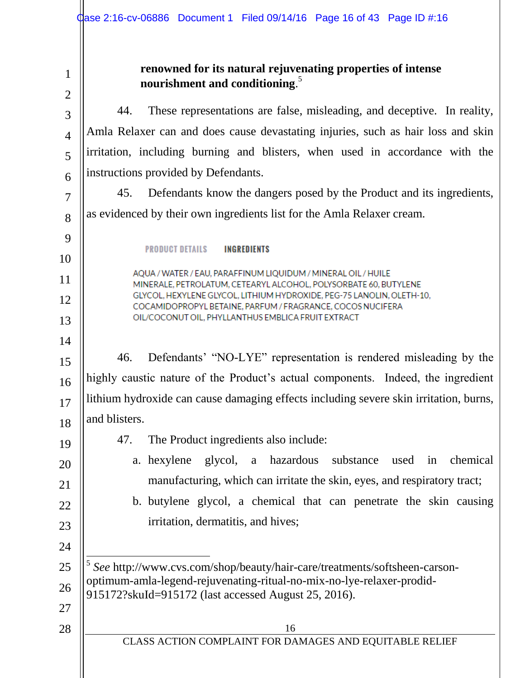**renowned for its natural rejuvenating properties of intense**  1 **nourishment and conditioning**. 5 2 44. These representations are false, misleading, and deceptive. In reality, 3 Amla Relaxer can and does cause devastating injuries, such as hair loss and skin 4 irritation, including burning and blisters, when used in accordance with the 5 instructions provided by Defendants. 6 45. Defendants know the dangers posed by the Product and its ingredients, 7 as evidenced by their own ingredients list for the Amla Relaxer cream. 8 9 **PRODUCT DETAILS INGREDIENTS** 10 AQUA / WATER / EAU, PARAFFINUM LIQUIDUM / MINERAL OIL / HUILE 11 MINERALE, PETROLATUM, CETEARYL ALCOHOL, POLYSORBATE 60, BUTYLENE GLYCOL, HEXYLENE GLYCOL, LITHIUM HYDROXIDE, PEG-75 LANOLIN, OLETH-10, 12 COCAMIDOPROPYL BETAINE, PARFUM / FRAGRANCE, COCOS NUCIFERA OIL/COCONUT OIL, PHYLLANTHUS EMBLICA FRUIT EXTRACT 13 14 46. Defendants' "NO-LYE" representation is rendered misleading by the 15 highly caustic nature of the Product's actual components. Indeed, the ingredient 16 lithium hydroxide can cause damaging effects including severe skin irritation, burns, 17 and blisters. 18 47. The Product ingredients also include: 19 a. hexylene glycol, a hazardous substance used in chemical 20 manufacturing, which can irritate the skin, eyes, and respiratory tract; 21 b. butylene glycol, a chemical that can penetrate the skin causing 22 irritation, dermatitis, and hives; 23 24 l 5 *See* http://www.cvs.com/shop/beauty/hair-care/treatments/softsheen-carson-25 optimum-amla-legend-rejuvenating-ritual-no-mix-no-lye-relaxer-prodid-26 915172?skuId=915172 (last accessed August 25, 2016). 27 28 16 CLASS ACTION COMPLAINT FOR DAMAGES AND EQUITABLE RELIEF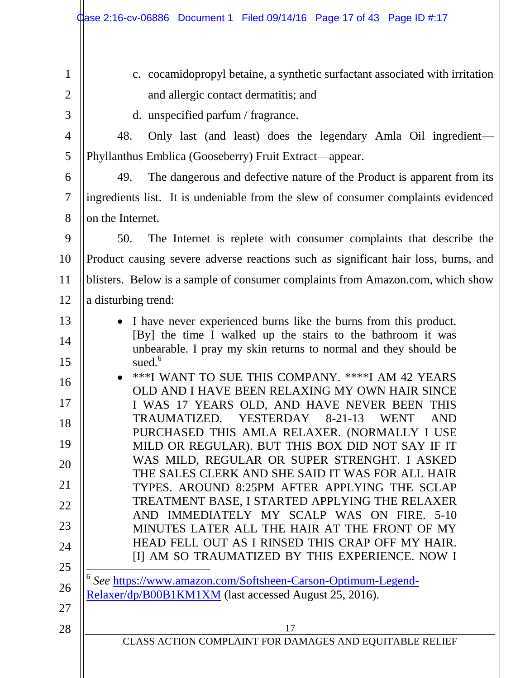| $\alpha$ ase 2:16-cv-06886 Document 1 Filed 09/14/16 Page 17 of 43 Page ID #:17                                                |  |  |  |
|--------------------------------------------------------------------------------------------------------------------------------|--|--|--|
|                                                                                                                                |  |  |  |
| c. cocamidopropyl betaine, a synthetic surfactant associated with irritation                                                   |  |  |  |
| and allergic contact dermatitis; and                                                                                           |  |  |  |
| d. unspecified parfum / fragrance.                                                                                             |  |  |  |
| 48.<br>Only last (and least) does the legendary Amla Oil ingredient-                                                           |  |  |  |
| Phyllanthus Emblica (Gooseberry) Fruit Extract—appear.                                                                         |  |  |  |
| The dangerous and defective nature of the Product is apparent from its<br>49.                                                  |  |  |  |
| ingredients list. It is undeniable from the slew of consumer complaints evidenced                                              |  |  |  |
| on the Internet.                                                                                                               |  |  |  |
| The Internet is replete with consumer complaints that describe the<br>50.                                                      |  |  |  |
| Product causing severe adverse reactions such as significant hair loss, burns, and                                             |  |  |  |
| blisters. Below is a sample of consumer complaints from Amazon.com, which show                                                 |  |  |  |
| a disturbing trend:                                                                                                            |  |  |  |
| • I have never experienced burns like the burns from this product.                                                             |  |  |  |
| [By] the time I walked up the stairs to the bathroom it was<br>unbearable. I pray my skin returns to normal and they should be |  |  |  |
| sued. <sup>6</sup>                                                                                                             |  |  |  |
| ***I WANT TO SUE THIS COMPANY. ****I AM 42 YEARS<br>OLD AND I HAVE BEEN RELAXING MY OWN HAIR SINCE                             |  |  |  |
| I WAS 17 YEARS OLD, AND HAVE NEVER BEEN THIS<br><b>AND</b>                                                                     |  |  |  |
| TRAUMATIZED. YESTERDAY 8-21-13 WENT<br>PURCHASED THIS AMLA RELAXER. (NORMALLY I USE                                            |  |  |  |
| MILD OR REGULAR). BUT THIS BOX DID NOT SAY IF IT                                                                               |  |  |  |
| WAS MILD, REGULAR OR SUPER STRENGHT. I ASKED<br>THE SALES CLERK AND SHE SAID IT WAS FOR ALL HAIR                               |  |  |  |
| TYPES. AROUND 8:25PM AFTER APPLYING THE SCLAP                                                                                  |  |  |  |
| TREATMENT BASE, I STARTED APPLYING THE RELAXER<br>AND IMMEDIATELY MY SCALP WAS ON FIRE. 5-10                                   |  |  |  |
| MINUTES LATER ALL THE HAIR AT THE FRONT OF MY<br>HEAD FELL OUT AS I RINSED THIS CRAP OFF MY HAIR.                              |  |  |  |
| [I] AM SO TRAUMATIZED BY THIS EXPERIENCE. NOW I                                                                                |  |  |  |
| See https://www.amazon.com/Softsheen-Carson-Optimum-Legend-                                                                    |  |  |  |
| Relaxer/dp/B00B1KM1XM (last accessed August 25, 2016).                                                                         |  |  |  |
|                                                                                                                                |  |  |  |
| 17<br>CLASS ACTION COMPLAINT FOR DAMAGES AND EQUITABLE RELIEF                                                                  |  |  |  |
|                                                                                                                                |  |  |  |
|                                                                                                                                |  |  |  |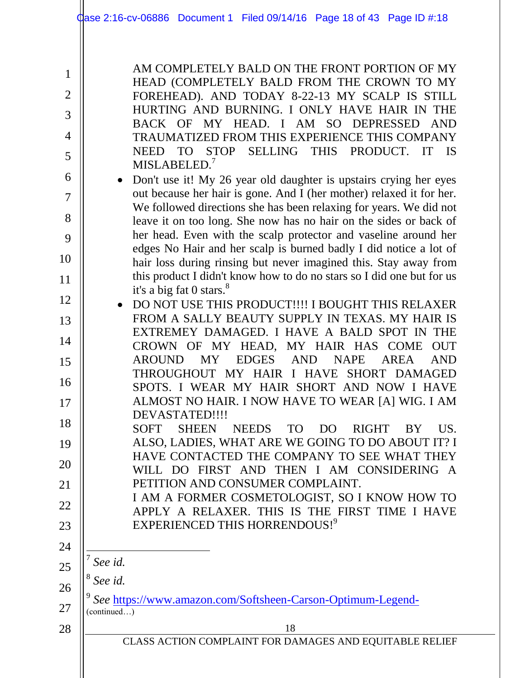AM COMPLETELY BALD ON THE FRONT PORTION OF MY HEAD (COMPLETELY BALD FROM THE CROWN TO MY FOREHEAD). AND TODAY 8-22-13 MY SCALP IS STILL HURTING AND BURNING. I ONLY HAVE HAIR IN THE BACK OF MY HEAD. I AM SO DEPRESSED AND TRAUMATIZED FROM THIS EXPERIENCE THIS COMPANY NEED TO STOP SELLING THIS PRODUCT. IT IS MISLABELED.<sup>7</sup>

- Don't use it! My 26 year old daughter is upstairs crying her eyes out because her hair is gone. And I (her mother) relaxed it for her. We followed directions she has been relaxing for years. We did not leave it on too long. She now has no hair on the sides or back of her head. Even with the scalp protector and vaseline around her edges No Hair and her scalp is burned badly I did notice a lot of hair loss during rinsing but never imagined this. Stay away from this product I didn't know how to do no stars so I did one but for us it's a big fat 0 stars.<sup>8</sup>
- 12 13 14 15 16 17 DO NOT USE THIS PRODUCT!!!! I BOUGHT THIS RELAXER FROM A SALLY BEAUTY SUPPLY IN TEXAS. MY HAIR IS EXTREMEY DAMAGED. I HAVE A BALD SPOT IN THE CROWN OF MY HEAD, MY HAIR HAS COME OUT AROUND MY EDGES AND NAPE AREA AND THROUGHOUT MY HAIR I HAVE SHORT DAMAGED SPOTS. I WEAR MY HAIR SHORT AND NOW I HAVE ALMOST NO HAIR. I NOW HAVE TO WEAR [A] WIG. I AM DEVASTATED!!!!

18 19 20 21 SOFT SHEEN NEEDS TO DO RIGHT BY US. ALSO, LADIES, WHAT ARE WE GOING TO DO ABOUT IT? I HAVE CONTACTED THE COMPANY TO SEE WHAT THEY WILL DO FIRST AND THEN I AM CONSIDERING A PETITION AND CONSUMER COMPLAINT.

22 23 I AM A FORMER COSMETOLOGIST, SO I KNOW HOW TO APPLY A RELAXER. THIS IS THE FIRST TIME I HAVE EXPERIENCED THIS HORRENDOUS!<sup>9</sup>

l 7 *See id.*

8 *See id.*

26 27 9 *See* [https://www.amazon.com/Softsheen-Carson-Optimum-Legend-](https://www.amazon.com/Softsheen-Carson-Optimum-Legend-Relaxer/product-reviews/B00B1KM1XM/ref=cm_cr_dp_see_all_btm?ie=UTF8&showViewpoints=1&sortBy=recent) (continued…)

28

24

25

1

2

3

4

5

6

7

8

9

10

11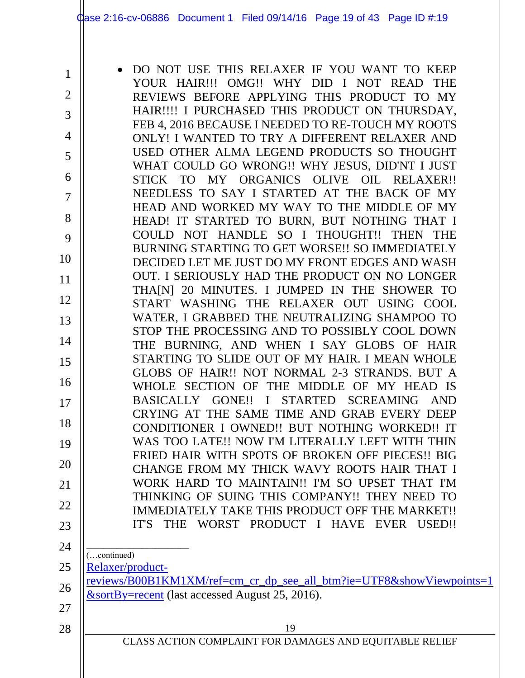| $\mathbf{1}$   | DO NOT USE THIS RELAXER IF YOU WANT TO KEEP                                                      |
|----------------|--------------------------------------------------------------------------------------------------|
| $\overline{2}$ | YOUR HAIR!!! OMG!! WHY DID I NOT READ THE                                                        |
|                | REVIEWS BEFORE APPLYING THIS PRODUCT TO MY<br>HAIR!!!! I PURCHASED THIS PRODUCT ON THURSDAY,     |
| 3              | FEB 4, 2016 BECAUSE I NEEDED TO RE-TOUCH MY ROOTS                                                |
| 4              | ONLY! I WANTED TO TRY A DIFFERENT RELAXER AND                                                    |
| 5              | USED OTHER ALMA LEGEND PRODUCTS SO THOUGHT                                                       |
| 6              | WHAT COULD GO WRONG!! WHY JESUS, DID'NT I JUST<br>STICK TO MY ORGANICS OLIVE OIL RELAXER!!       |
| 7              | NEEDLESS TO SAY I STARTED AT THE BACK OF MY                                                      |
|                | HEAD AND WORKED MY WAY TO THE MIDDLE OF MY                                                       |
| 8              | HEAD! IT STARTED TO BURN, BUT NOTHING THAT I                                                     |
| 9              | COULD NOT HANDLE SO I THOUGHT!! THEN THE                                                         |
| 10             | BURNING STARTING TO GET WORSE!! SO IMMEDIATELY<br>DECIDED LET ME JUST DO MY FRONT EDGES AND WASH |
| 11             | OUT. I SERIOUSLY HAD THE PRODUCT ON NO LONGER                                                    |
|                | THA[N] 20 MINUTES. I JUMPED IN THE SHOWER TO                                                     |
| 12             | START WASHING THE RELAXER OUT USING COOL                                                         |
| 13             | WATER, I GRABBED THE NEUTRALIZING SHAMPOO TO<br>STOP THE PROCESSING AND TO POSSIBLY COOL DOWN    |
| 14             | THE BURNING, AND WHEN I SAY GLOBS OF HAIR                                                        |
| 15             | STARTING TO SLIDE OUT OF MY HAIR. I MEAN WHOLE                                                   |
|                | GLOBS OF HAIR!! NOT NORMAL 2-3 STRANDS. BUT A                                                    |
| 16             | WHOLE SECTION OF THE MIDDLE OF MY HEAD IS                                                        |
| 17             | BASICALLY GONE!! I STARTED SCREAMING AND<br>CRYING AT THE SAME TIME AND GRAB EVERY DEEP          |
| 18             | CONDITIONER I OWNED!! BUT NOTHING WORKED!! IT                                                    |
| 19             | WAS TOO LATE!! NOW I'M LITERALLY LEFT WITH THIN                                                  |
| 20             | FRIED HAIR WITH SPOTS OF BROKEN OFF PIECES!! BIG                                                 |
|                | CHANGE FROM MY THICK WAVY ROOTS HAIR THAT I<br>WORK HARD TO MAINTAIN!! I'M SO UPSET THAT I'M     |
| 21             | THINKING OF SUING THIS COMPANY!! THEY NEED TO                                                    |
| 22             | IMMEDIATELY TAKE THIS PRODUCT OFF THE MARKET!!                                                   |
| 23             | IT'S THE WORST PRODUCT I HAVE EVER USED!!                                                        |
| 24             |                                                                                                  |
| 25             | (continued)<br>Relaxer/product-                                                                  |
|                | reviews/B00B1KM1XM/ref=cm_cr_dp_see_all_btm?ie=UTF8&showViewpoints=1                             |
| 26             | $&$ sortBy=recent (last accessed August 25, 2016).                                               |
| 27             |                                                                                                  |
| 28             | 19                                                                                               |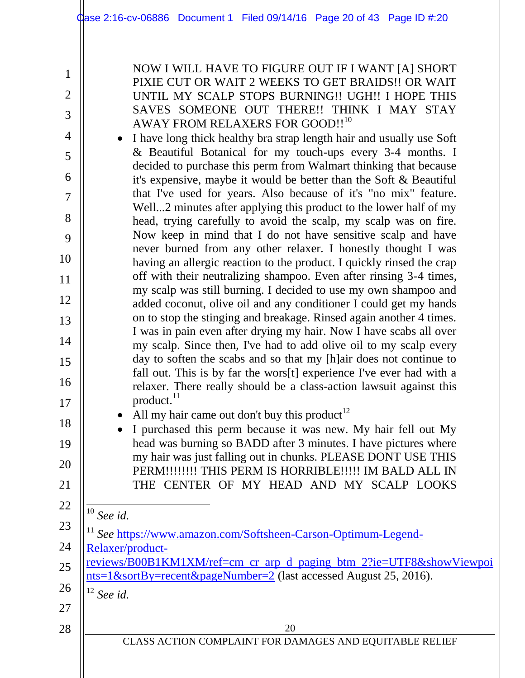1

2

3

4

5

6

7

8

9

10

11

12

13

14

15

16

17

18

19

20

21

22

NOW I WILL HAVE TO FIGURE OUT IF I WANT [A] SHORT PIXIE CUT OR WAIT 2 WEEKS TO GET BRAIDS!! OR WAIT UNTIL MY SCALP STOPS BURNING!! UGH!! I HOPE THIS SAVES SOMEONE OUT THERE!! THINK I MAY STAY AWAY FROM RELAXERS FOR GOOD!!<sup>10</sup>

• I have long thick healthy bra strap length hair and usually use Soft & Beautiful Botanical for my touch-ups every 3-4 months. I decided to purchase this perm from Walmart thinking that because it's expensive, maybe it would be better than the Soft & Beautiful that I've used for years. Also because of it's "no mix" feature. Well...2 minutes after applying this product to the lower half of my head, trying carefully to avoid the scalp, my scalp was on fire. Now keep in mind that I do not have sensitive scalp and have never burned from any other relaxer. I honestly thought I was having an allergic reaction to the product. I quickly rinsed the crap off with their neutralizing shampoo. Even after rinsing 3-4 times, my scalp was still burning. I decided to use my own shampoo and added coconut, olive oil and any conditioner I could get my hands on to stop the stinging and breakage. Rinsed again another 4 times. I was in pain even after drying my hair. Now I have scabs all over my scalp. Since then, I've had to add olive oil to my scalp every day to soften the scabs and so that my [h]air does not continue to fall out. This is by far the wors[t] experience I've ever had with a relaxer. There really should be a class-action lawsuit against this product. $^{11}$ 

• All my hair came out don't buy this product<sup>12</sup>

• I purchased this perm because it was new. My hair fell out My head was burning so BADD after 3 minutes. I have pictures where my hair was just falling out in chunks. PLEASE DONT USE THIS PERM!!!!!!!! THIS PERM IS HORRIBLE!!!!! IM BALD ALL IN THE CENTER OF MY HEAD AND MY SCALP LOOKS

l <sup>10</sup> *See id.*

- 23 24 <sup>11</sup> See [https://www.amazon.com/Softsheen-Carson-Optimum-Legend-](https://www.amazon.com/Softsheen-Carson-Optimum-Legend-Relaxer/product-reviews/B00B1KM1XM/ref=cm_cr_arp_d_paging_btm_2?ie=UTF8&showViewpoints=1&sortBy=recent&pageNumber=2)[Relaxer/product-](https://www.amazon.com/Softsheen-Carson-Optimum-Legend-Relaxer/product-reviews/B00B1KM1XM/ref=cm_cr_arp_d_paging_btm_2?ie=UTF8&showViewpoints=1&sortBy=recent&pageNumber=2)
- 25 [reviews/B00B1KM1XM/ref=cm\\_cr\\_arp\\_d\\_paging\\_btm\\_2?ie=UTF8&showViewpoi](https://www.amazon.com/Softsheen-Carson-Optimum-Legend-Relaxer/product-reviews/B00B1KM1XM/ref=cm_cr_arp_d_paging_btm_2?ie=UTF8&showViewpoints=1&sortBy=recent&pageNumber=2) [nts=1&sortBy=recent&pageNumber=2](https://www.amazon.com/Softsheen-Carson-Optimum-Legend-Relaxer/product-reviews/B00B1KM1XM/ref=cm_cr_arp_d_paging_btm_2?ie=UTF8&showViewpoints=1&sortBy=recent&pageNumber=2) (last accessed August 25, 2016).

<sup>12</sup> *See id.*

28

26

27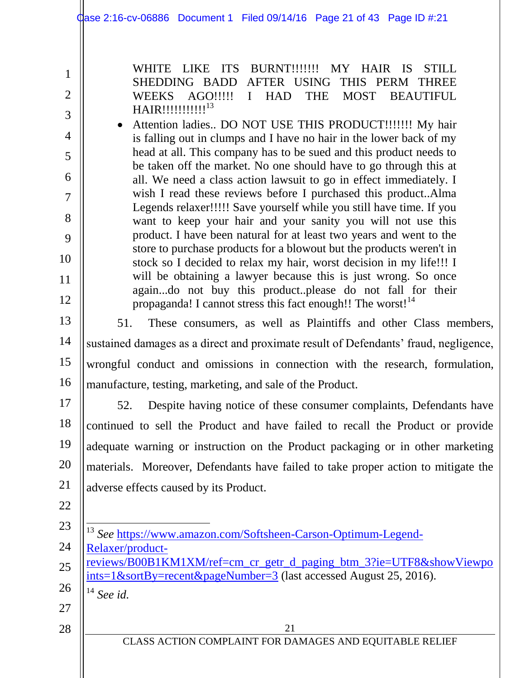WHITE LIKE ITS BURNT!!!!!!! MY HAIR IS STILL SHEDDING BADD AFTER USING THIS PERM THREE WEEKS AGO!!!!! I HAD THE MOST BEAUTIFUL

2

1

3

4

5

6

7

8

9

10

11

HAIR!!!!!!!!!!!<sup>13</sup> Attention ladies.. DO NOT USE THIS PRODUCT!!!!!!! My hair is falling out in clumps and I have no hair in the lower back of my head at all. This company has to be sued and this product needs to be taken off the market. No one should have to go through this at all. We need a class action lawsuit to go in effect immediately. I wish I read these reviews before I purchased this product..Alma Legends relaxer!!!!! Save yourself while you still have time. If you want to keep your hair and your sanity you will not use this product. I have been natural for at least two years and went to the store to purchase products for a blowout but the products weren't in stock so I decided to relax my hair, worst decision in my life!!! I will be obtaining a lawyer because this is just wrong. So once again...do not buy this product..please do not fall for their propaganda! I cannot stress this fact enough!! The worst! $14$ 

13

14

15

16

12

51. These consumers, as well as Plaintiffs and other Class members, sustained damages as a direct and proximate result of Defendants' fraud, negligence, wrongful conduct and omissions in connection with the research, formulation, manufacture, testing, marketing, and sale of the Product.

17

18

19

20

21

52. Despite having notice of these consumer complaints, Defendants have continued to sell the Product and have failed to recall the Product or provide adequate warning or instruction on the Product packaging or in other marketing materials. Moreover, Defendants have failed to take proper action to mitigate the adverse effects caused by its Product.

<sup>13</sup> *See* [https://www.amazon.com/Softsheen-Carson-Optimum-Legend-](https://www.amazon.com/Softsheen-Carson-Optimum-Legend-Relaxer/product-reviews/B00B1KM1XM/ref=cm_cr_getr_d_paging_btm_3?ie=UTF8&showViewpoints=1&sortBy=recent&pageNumber=3)

- 22
- 23
- 24
- 25 [reviews/B00B1KM1XM/ref=cm\\_cr\\_getr\\_d\\_paging\\_btm\\_3?ie=UTF8&showViewpo](https://www.amazon.com/Softsheen-Carson-Optimum-Legend-Relaxer/product-reviews/B00B1KM1XM/ref=cm_cr_getr_d_paging_btm_3?ie=UTF8&showViewpoints=1&sortBy=recent&pageNumber=3) [ints=1&sortBy=recent&pageNumber=3](https://www.amazon.com/Softsheen-Carson-Optimum-Legend-Relaxer/product-reviews/B00B1KM1XM/ref=cm_cr_getr_d_paging_btm_3?ie=UTF8&showViewpoints=1&sortBy=recent&pageNumber=3) (last accessed August 25, 2016).

[Relaxer/product-](https://www.amazon.com/Softsheen-Carson-Optimum-Legend-Relaxer/product-reviews/B00B1KM1XM/ref=cm_cr_getr_d_paging_btm_3?ie=UTF8&showViewpoints=1&sortBy=recent&pageNumber=3)

l

- 26 <sup>14</sup> *See id.*
- 27 28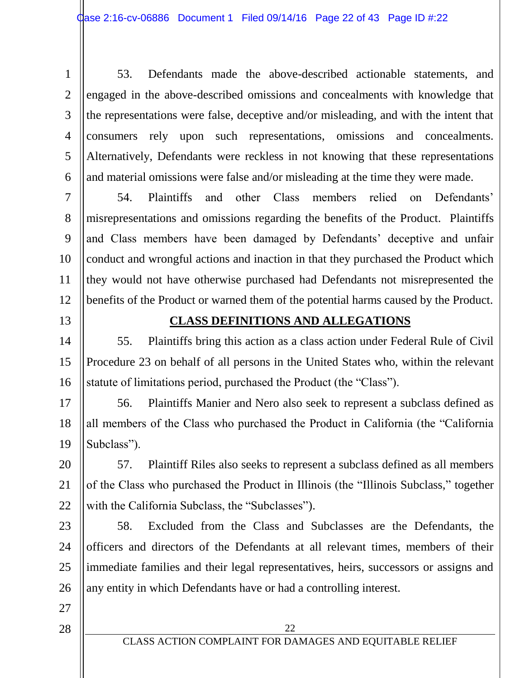1 2 3 4 5 6 53. Defendants made the above-described actionable statements, and engaged in the above-described omissions and concealments with knowledge that the representations were false, deceptive and/or misleading, and with the intent that consumers rely upon such representations, omissions and concealments. Alternatively, Defendants were reckless in not knowing that these representations and material omissions were false and/or misleading at the time they were made.

7 8 9 10 11 12 54. Plaintiffs and other Class members relied on Defendants' misrepresentations and omissions regarding the benefits of the Product. Plaintiffs and Class members have been damaged by Defendants' deceptive and unfair conduct and wrongful actions and inaction in that they purchased the Product which they would not have otherwise purchased had Defendants not misrepresented the benefits of the Product or warned them of the potential harms caused by the Product.

13

## **CLASS DEFINITIONS AND ALLEGATIONS**

14 15 16 55. Plaintiffs bring this action as a class action under Federal Rule of Civil Procedure 23 on behalf of all persons in the United States who, within the relevant statute of limitations period, purchased the Product (the "Class").

17 18 19 56. Plaintiffs Manier and Nero also seek to represent a subclass defined as all members of the Class who purchased the Product in California (the "California Subclass").

20 21 22 57. Plaintiff Riles also seeks to represent a subclass defined as all members of the Class who purchased the Product in Illinois (the "Illinois Subclass," together with the California Subclass, the "Subclasses").

23 24 25 26 58. Excluded from the Class and Subclasses are the Defendants, the officers and directors of the Defendants at all relevant times, members of their immediate families and their legal representatives, heirs, successors or assigns and any entity in which Defendants have or had a controlling interest.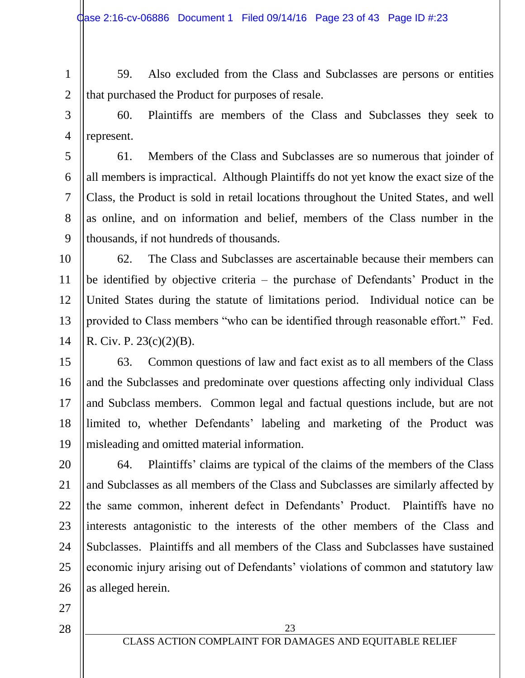1 2

59. Also excluded from the Class and Subclasses are persons or entities that purchased the Product for purposes of resale.

3

4

60. Plaintiffs are members of the Class and Subclasses they seek to represent.

5 6 7 8 9 61. Members of the Class and Subclasses are so numerous that joinder of all members is impractical. Although Plaintiffs do not yet know the exact size of the Class, the Product is sold in retail locations throughout the United States, and well as online, and on information and belief, members of the Class number in the thousands, if not hundreds of thousands.

10 11 12 13 14 62. The Class and Subclasses are ascertainable because their members can be identified by objective criteria – the purchase of Defendants' Product in the United States during the statute of limitations period. Individual notice can be provided to Class members "who can be identified through reasonable effort." Fed. R. Civ. P. 23(c)(2)(B).

15 16 17 18 19 63. Common questions of law and fact exist as to all members of the Class and the Subclasses and predominate over questions affecting only individual Class and Subclass members. Common legal and factual questions include, but are not limited to, whether Defendants' labeling and marketing of the Product was misleading and omitted material information.

20 21 22 23 24 25 26 64. Plaintiffs' claims are typical of the claims of the members of the Class and Subclasses as all members of the Class and Subclasses are similarly affected by the same common, inherent defect in Defendants' Product. Plaintiffs have no interests antagonistic to the interests of the other members of the Class and Subclasses. Plaintiffs and all members of the Class and Subclasses have sustained economic injury arising out of Defendants' violations of common and statutory law as alleged herein.

27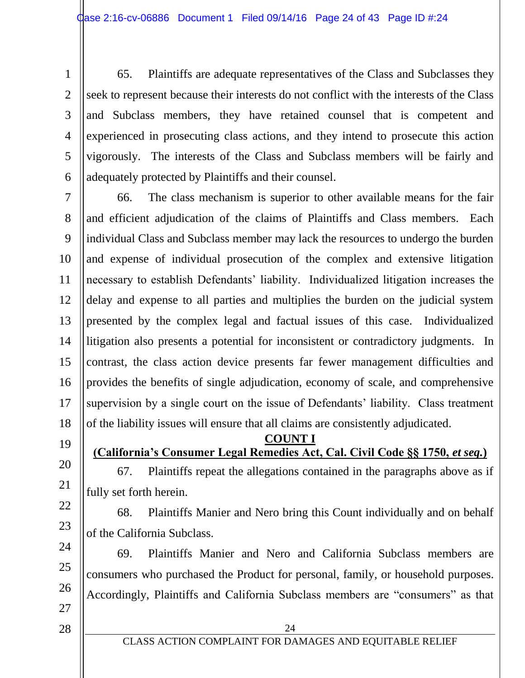1 2 3 4 5 6 65. Plaintiffs are adequate representatives of the Class and Subclasses they seek to represent because their interests do not conflict with the interests of the Class and Subclass members, they have retained counsel that is competent and experienced in prosecuting class actions, and they intend to prosecute this action vigorously. The interests of the Class and Subclass members will be fairly and adequately protected by Plaintiffs and their counsel.

7 8 9 10 11 12 13 14 15 16 17 18 66. The class mechanism is superior to other available means for the fair and efficient adjudication of the claims of Plaintiffs and Class members. Each individual Class and Subclass member may lack the resources to undergo the burden and expense of individual prosecution of the complex and extensive litigation necessary to establish Defendants' liability. Individualized litigation increases the delay and expense to all parties and multiplies the burden on the judicial system presented by the complex legal and factual issues of this case. Individualized litigation also presents a potential for inconsistent or contradictory judgments. In contrast, the class action device presents far fewer management difficulties and provides the benefits of single adjudication, economy of scale, and comprehensive supervision by a single court on the issue of Defendants' liability. Class treatment of the liability issues will ensure that all claims are consistently adjudicated.

19

20

21

22

23

24

25

26

**COUNT I** 

**(California's Consumer Legal Remedies Act, Cal. Civil Code §§ 1750,** *et seq.***)**

67. Plaintiffs repeat the allegations contained in the paragraphs above as if fully set forth herein.

68. Plaintiffs Manier and Nero bring this Count individually and on behalf of the California Subclass.

69. Plaintiffs Manier and Nero and California Subclass members are consumers who purchased the Product for personal, family, or household purposes. Accordingly, Plaintiffs and California Subclass members are "consumers" as that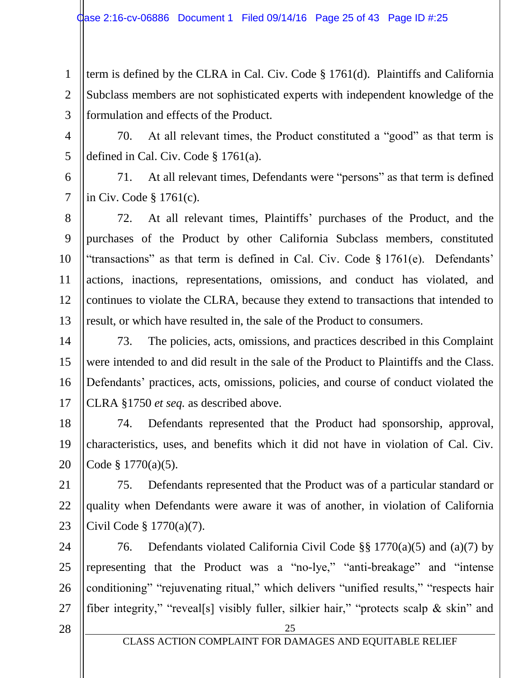1 2 3 term is defined by the CLRA in Cal. Civ. Code § 1761(d). Plaintiffs and California Subclass members are not sophisticated experts with independent knowledge of the formulation and effects of the Product.

4 5 70. At all relevant times, the Product constituted a "good" as that term is defined in Cal. Civ. Code § 1761(a).

6 7 71. At all relevant times, Defendants were "persons" as that term is defined in Civ. Code § 1761(c).

8 9 10 11 12 13 72. At all relevant times, Plaintiffs' purchases of the Product, and the purchases of the Product by other California Subclass members, constituted "transactions" as that term is defined in Cal. Civ. Code § 1761(e). Defendants' actions, inactions, representations, omissions, and conduct has violated, and continues to violate the CLRA, because they extend to transactions that intended to result, or which have resulted in, the sale of the Product to consumers.

14 15 16 17 73. The policies, acts, omissions, and practices described in this Complaint were intended to and did result in the sale of the Product to Plaintiffs and the Class. Defendants' practices, acts, omissions, policies, and course of conduct violated the CLRA §1750 *et seq.* as described above.

18 19 20 74. Defendants represented that the Product had sponsorship, approval, characteristics, uses, and benefits which it did not have in violation of Cal. Civ. Code § 1770(a)(5).

21 22 23 75. Defendants represented that the Product was of a particular standard or quality when Defendants were aware it was of another, in violation of California Civil Code § 1770(a)(7).

24 25 26 27 76. Defendants violated California Civil Code §§ 1770(a)(5) and (a)(7) by representing that the Product was a "no-lye," "anti-breakage" and "intense conditioning" "rejuvenating ritual," which delivers "unified results," "respects hair fiber integrity," "reveal[s] visibly fuller, silkier hair," "protects scalp & skin" and

28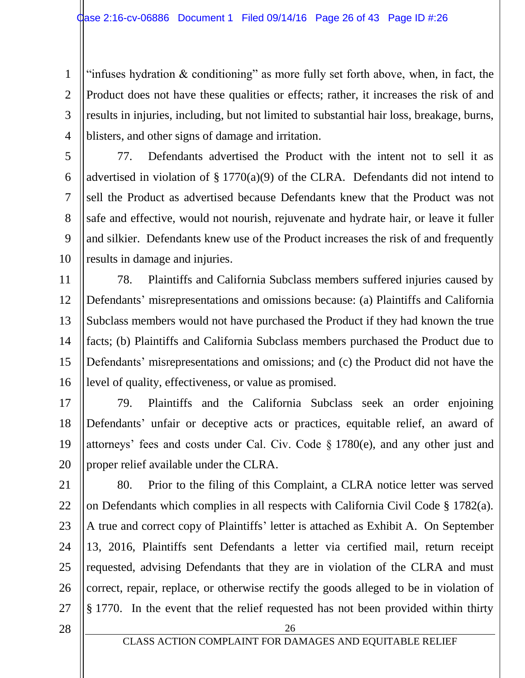1 2 3 4 "infuses hydration  $\&$  conditioning" as more fully set forth above, when, in fact, the Product does not have these qualities or effects; rather, it increases the risk of and results in injuries, including, but not limited to substantial hair loss, breakage, burns, blisters, and other signs of damage and irritation.

5 6 7 8 9 10 77. Defendants advertised the Product with the intent not to sell it as advertised in violation of § 1770(a)(9) of the CLRA. Defendants did not intend to sell the Product as advertised because Defendants knew that the Product was not safe and effective, would not nourish, rejuvenate and hydrate hair, or leave it fuller and silkier. Defendants knew use of the Product increases the risk of and frequently results in damage and injuries.

11 12 13 14 15 16 78. Plaintiffs and California Subclass members suffered injuries caused by Defendants' misrepresentations and omissions because: (a) Plaintiffs and California Subclass members would not have purchased the Product if they had known the true facts; (b) Plaintiffs and California Subclass members purchased the Product due to Defendants' misrepresentations and omissions; and (c) the Product did not have the level of quality, effectiveness, or value as promised.

17 18 19 20 79. Plaintiffs and the California Subclass seek an order enjoining Defendants' unfair or deceptive acts or practices, equitable relief, an award of attorneys' fees and costs under Cal. Civ. Code § 1780(e), and any other just and proper relief available under the CLRA.

21 22 23 24 25 26 27 80. Prior to the filing of this Complaint, a CLRA notice letter was served on Defendants which complies in all respects with California Civil Code § 1782(a). A true and correct copy of Plaintiffs' letter is attached as Exhibit A. On September 13, 2016, Plaintiffs sent Defendants a letter via certified mail, return receipt requested, advising Defendants that they are in violation of the CLRA and must correct, repair, replace, or otherwise rectify the goods alleged to be in violation of § 1770. In the event that the relief requested has not been provided within thirty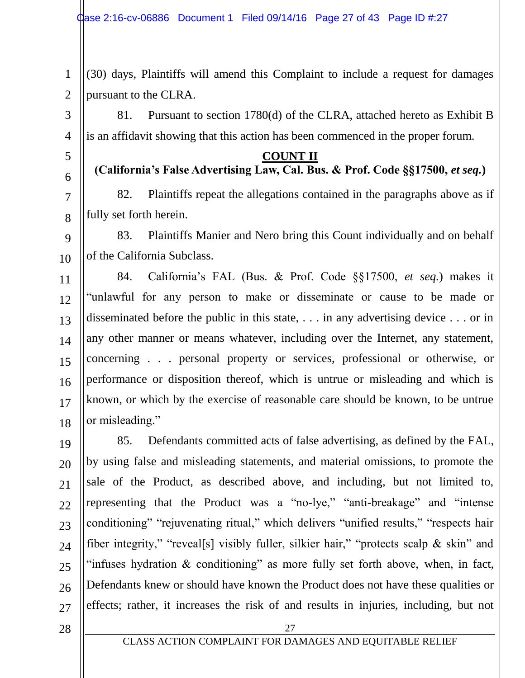1 2 (30) days, Plaintiffs will amend this Complaint to include a request for damages pursuant to the CLRA.

81. Pursuant to section 1780(d) of the CLRA, attached hereto as Exhibit B is an affidavit showing that this action has been commenced in the proper forum.

#### **COUNT II**

## **(California's False Advertising Law, Cal. Bus. & Prof. Code §§17500,** *et seq.***)**

82. Plaintiffs repeat the allegations contained in the paragraphs above as if fully set forth herein.

9 10 83. Plaintiffs Manier and Nero bring this Count individually and on behalf of the California Subclass.

11 12 13 14 15 16 17 18 84. California's FAL (Bus. & Prof. Code §§17500, *et seq.*) makes it "unlawful for any person to make or disseminate or cause to be made or disseminated before the public in this state, . . . in any advertising device . . . or in any other manner or means whatever, including over the Internet, any statement, concerning . . . personal property or services, professional or otherwise, or performance or disposition thereof, which is untrue or misleading and which is known, or which by the exercise of reasonable care should be known, to be untrue or misleading."

19 20 21 22 23 24 25 26 27 85. Defendants committed acts of false advertising, as defined by the FAL, by using false and misleading statements, and material omissions, to promote the sale of the Product, as described above, and including, but not limited to, representing that the Product was a "no-lye," "anti-breakage" and "intense conditioning" "rejuvenating ritual," which delivers "unified results," "respects hair fiber integrity," "reveal[s] visibly fuller, silkier hair," "protects scalp & skin" and "infuses hydration  $\&$  conditioning" as more fully set forth above, when, in fact, Defendants knew or should have known the Product does not have these qualities or effects; rather, it increases the risk of and results in injuries, including, but not

28

3

4

5

6

7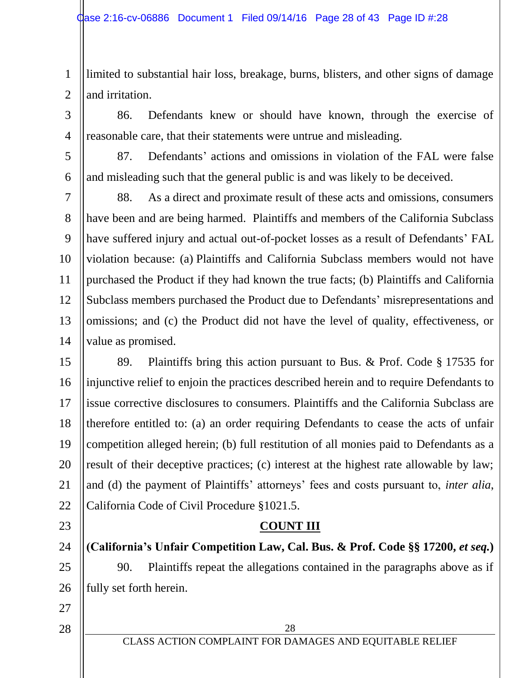1 2 limited to substantial hair loss, breakage, burns, blisters, and other signs of damage and irritation.

86. Defendants knew or should have known, through the exercise of reasonable care, that their statements were untrue and misleading.

5 6 87. Defendants' actions and omissions in violation of the FAL were false and misleading such that the general public is and was likely to be deceived.

7 8 9 10 11 12 13 14 88. As a direct and proximate result of these acts and omissions, consumers have been and are being harmed. Plaintiffs and members of the California Subclass have suffered injury and actual out-of-pocket losses as a result of Defendants' FAL violation because: (a) Plaintiffs and California Subclass members would not have purchased the Product if they had known the true facts; (b) Plaintiffs and California Subclass members purchased the Product due to Defendants' misrepresentations and omissions; and (c) the Product did not have the level of quality, effectiveness, or value as promised.

15 16 17 18 19 20 21 22 89. Plaintiffs bring this action pursuant to Bus. & Prof. Code § 17535 for injunctive relief to enjoin the practices described herein and to require Defendants to issue corrective disclosures to consumers. Plaintiffs and the California Subclass are therefore entitled to: (a) an order requiring Defendants to cease the acts of unfair competition alleged herein; (b) full restitution of all monies paid to Defendants as a result of their deceptive practices; (c) interest at the highest rate allowable by law; and (d) the payment of Plaintiffs' attorneys' fees and costs pursuant to, *inter alia*, California Code of Civil Procedure §1021.5.

# **COUNT III**

24 25 26 **(California's Unfair Competition Law, Cal. Bus. & Prof. Code §§ 17200,** *et seq.***)** 90. Plaintiffs repeat the allegations contained in the paragraphs above as if fully set forth herein.

27 28

23

3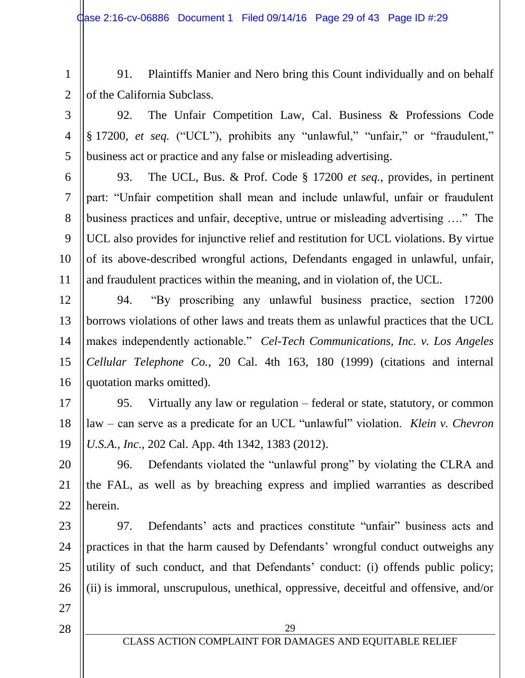1 2

3

4

5

91. Plaintiffs Manier and Nero bring this Count individually and on behalf of the California Subclass.

92. The Unfair Competition Law, Cal. Business & Professions Code § 17200, *et seq.* ("UCL"), prohibits any "unlawful," "unfair," or "fraudulent," business act or practice and any false or misleading advertising.

6 7 8 9 10 11 93. The UCL, Bus. & Prof. Code § 17200 *et seq.*, provides, in pertinent part: "Unfair competition shall mean and include unlawful, unfair or fraudulent business practices and unfair, deceptive, untrue or misleading advertising …." The UCL also provides for injunctive relief and restitution for UCL violations. By virtue of its above-described wrongful actions, Defendants engaged in unlawful, unfair, and fraudulent practices within the meaning, and in violation of, the UCL.

12 13 14 15 16 94. "By proscribing any unlawful business practice, section 17200 borrows violations of other laws and treats them as unlawful practices that the UCL makes independently actionable." *Cel-Tech Communications, Inc. v. Los Angeles Cellular Telephone Co.*, 20 Cal. 4th 163, 180 (1999) (citations and internal quotation marks omitted).

17 18 19 95. Virtually any law or regulation – federal or state, statutory, or common law – can serve as a predicate for an UCL "unlawful" violation. *Klein v. Chevron U.S.A., Inc.*, 202 Cal. App. 4th 1342, 1383 (2012).

20 21 22 96. Defendants violated the "unlawful prong" by violating the CLRA and the FAL, as well as by breaching express and implied warranties as described herein.

23 24 25 26 97. Defendants' acts and practices constitute "unfair" business acts and practices in that the harm caused by Defendants' wrongful conduct outweighs any utility of such conduct, and that Defendants' conduct: (i) offends public policy; (ii) is immoral, unscrupulous, unethical, oppressive, deceitful and offensive, and/or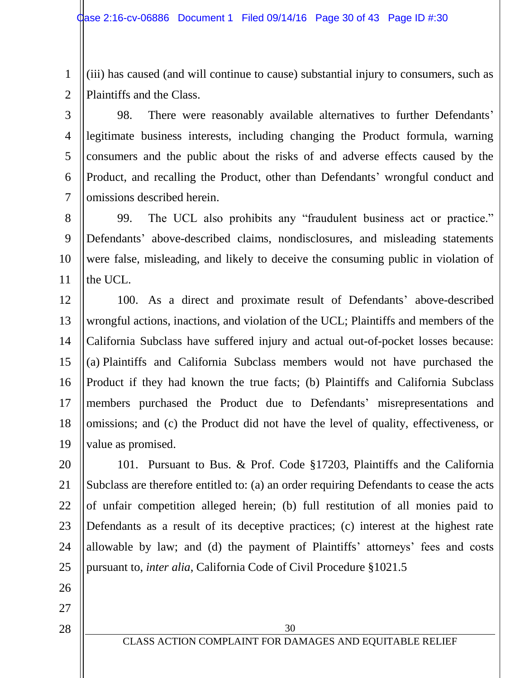1 2 (iii) has caused (and will continue to cause) substantial injury to consumers, such as Plaintiffs and the Class.

3 4 5 6 7 98. There were reasonably available alternatives to further Defendants' legitimate business interests, including changing the Product formula, warning consumers and the public about the risks of and adverse effects caused by the Product, and recalling the Product, other than Defendants' wrongful conduct and omissions described herein.

8 9 10 11 99. The UCL also prohibits any "fraudulent business act or practice." Defendants' above-described claims, nondisclosures, and misleading statements were false, misleading, and likely to deceive the consuming public in violation of the UCL.

12 13 14 15 16 17 18 19 100. As a direct and proximate result of Defendants' above-described wrongful actions, inactions, and violation of the UCL; Plaintiffs and members of the California Subclass have suffered injury and actual out-of-pocket losses because: (a) Plaintiffs and California Subclass members would not have purchased the Product if they had known the true facts; (b) Plaintiffs and California Subclass members purchased the Product due to Defendants' misrepresentations and omissions; and (c) the Product did not have the level of quality, effectiveness, or value as promised.

20 21 22 23 24 25 101. Pursuant to Bus. & Prof. Code §17203, Plaintiffs and the California Subclass are therefore entitled to: (a) an order requiring Defendants to cease the acts of unfair competition alleged herein; (b) full restitution of all monies paid to Defendants as a result of its deceptive practices; (c) interest at the highest rate allowable by law; and (d) the payment of Plaintiffs' attorneys' fees and costs pursuant to, *inter alia*, California Code of Civil Procedure §1021.5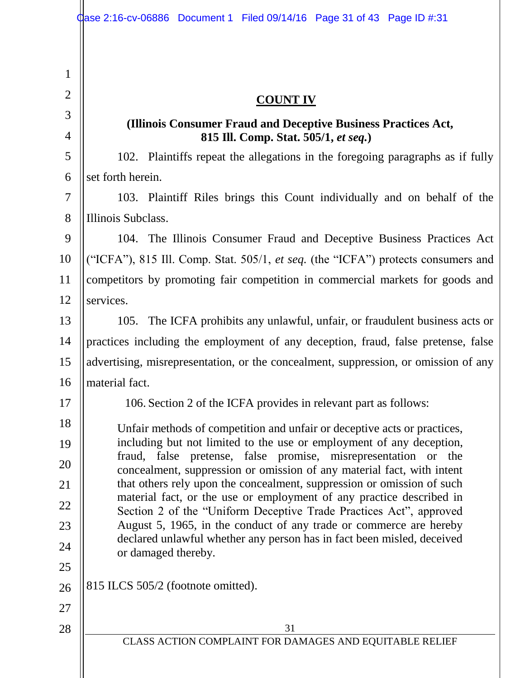31 CLASS ACTION COMPLAINT FOR DAMAGES AND EQUITABLE RELIEF 1 2 3 4 5 6 7 8 9 10 11 12 13 14 15 16 17 18 19 20 21 22 23 24 25 26 27 28 **COUNT IV (Illinois Consumer Fraud and Deceptive Business Practices Act, 815 Ill. Comp. Stat. 505/1,** *et seq.***)** 102. Plaintiffs repeat the allegations in the foregoing paragraphs as if fully set forth herein. 103. Plaintiff Riles brings this Count individually and on behalf of the Illinois Subclass. 104. The Illinois Consumer Fraud and Deceptive Business Practices Act ("ICFA"), 815 Ill. Comp. Stat. 505/1, *et seq.* (the "ICFA") protects consumers and competitors by promoting fair competition in commercial markets for goods and services. 105. The ICFA prohibits any unlawful, unfair, or fraudulent business acts or practices including the employment of any deception, fraud, false pretense, false advertising, misrepresentation, or the concealment, suppression, or omission of any material fact. 106. Section 2 of the ICFA provides in relevant part as follows: Unfair methods of competition and unfair or deceptive acts or practices, including but not limited to the use or employment of any deception, fraud, false pretense, false promise, misrepresentation or the concealment, suppression or omission of any material fact, with intent that others rely upon the concealment, suppression or omission of such material fact, or the use or employment of any practice described in Section 2 of the "Uniform Deceptive Trade Practices Act", approved August 5, 1965, in the conduct of any trade or commerce are hereby declared unlawful whether any person has in fact been misled, deceived or damaged thereby. 815 ILCS 505/2 (footnote omitted).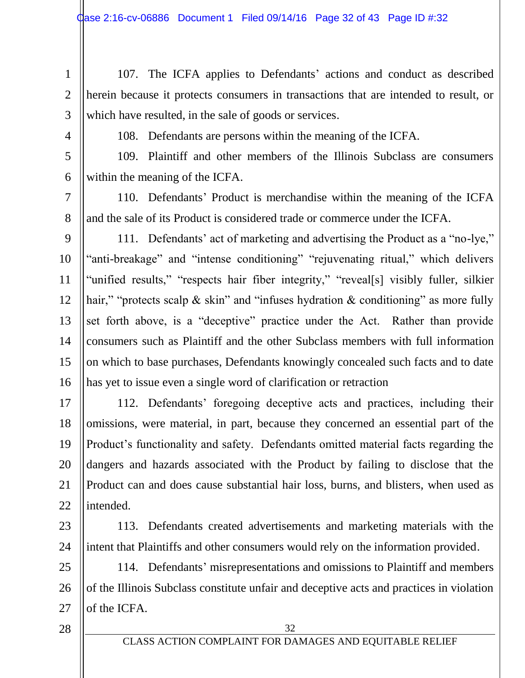- 1 2 3 107. The ICFA applies to Defendants' actions and conduct as described herein because it protects consumers in transactions that are intended to result, or which have resulted, in the sale of goods or services.
- 4

108. Defendants are persons within the meaning of the ICFA.

5 6 109. Plaintiff and other members of the Illinois Subclass are consumers within the meaning of the ICFA.

7 8 110. Defendants' Product is merchandise within the meaning of the ICFA and the sale of its Product is considered trade or commerce under the ICFA.

9 10 11 12 13 14 15 16 111. Defendants' act of marketing and advertising the Product as a "no-lye," "anti-breakage" and "intense conditioning" "rejuvenating ritual," which delivers "unified results," "respects hair fiber integrity," "reveal[s] visibly fuller, silkier hair," "protects scalp & skin" and "infuses hydration & conditioning" as more fully set forth above, is a "deceptive" practice under the Act. Rather than provide consumers such as Plaintiff and the other Subclass members with full information on which to base purchases, Defendants knowingly concealed such facts and to date has yet to issue even a single word of clarification or retraction

17 18 19 20 21 22 112. Defendants' foregoing deceptive acts and practices, including their omissions, were material, in part, because they concerned an essential part of the Product's functionality and safety. Defendants omitted material facts regarding the dangers and hazards associated with the Product by failing to disclose that the Product can and does cause substantial hair loss, burns, and blisters, when used as intended.

23 24

113. Defendants created advertisements and marketing materials with the intent that Plaintiffs and other consumers would rely on the information provided.

25 26 27 114. Defendants' misrepresentations and omissions to Plaintiff and members of the Illinois Subclass constitute unfair and deceptive acts and practices in violation of the ICFA.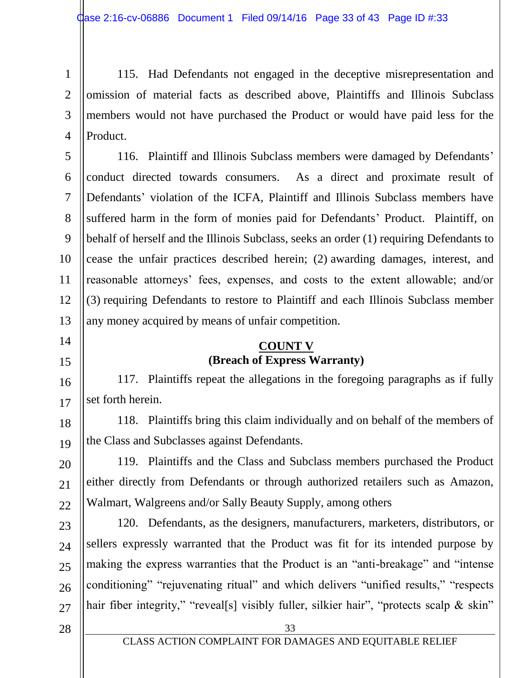1 2 3 4 115. Had Defendants not engaged in the deceptive misrepresentation and omission of material facts as described above, Plaintiffs and Illinois Subclass members would not have purchased the Product or would have paid less for the Product.

6 8 9 10 12 13 116. Plaintiff and Illinois Subclass members were damaged by Defendants' conduct directed towards consumers. As a direct and proximate result of Defendants' violation of the ICFA, Plaintiff and Illinois Subclass members have suffered harm in the form of monies paid for Defendants' Product. Plaintiff, on behalf of herself and the Illinois Subclass, seeks an order (1) requiring Defendants to cease the unfair practices described herein; (2) awarding damages, interest, and reasonable attorneys' fees, expenses, and costs to the extent allowable; and/or (3) requiring Defendants to restore to Plaintiff and each Illinois Subclass member any money acquired by means of unfair competition.

## **COUNT V (Breach of Express Warranty)**

117. Plaintiffs repeat the allegations in the foregoing paragraphs as if fully set forth herein.

18 19 118. Plaintiffs bring this claim individually and on behalf of the members of the Class and Subclasses against Defendants.

20 22 119. Plaintiffs and the Class and Subclass members purchased the Product either directly from Defendants or through authorized retailers such as Amazon, Walmart, Walgreens and/or Sally Beauty Supply, among others

23 24 25 26 27 120. Defendants, as the designers, manufacturers, marketers, distributors, or sellers expressly warranted that the Product was fit for its intended purpose by making the express warranties that the Product is an "anti-breakage" and "intense conditioning" "rejuvenating ritual" and which delivers "unified results," "respects hair fiber integrity," "reveal[s] visibly fuller, silkier hair", "protects scalp & skin"

28

5

7

11

14

15

16

17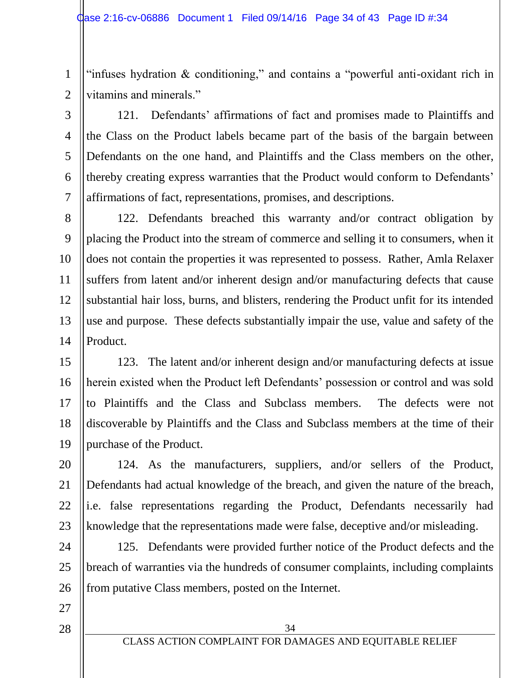1 2 "infuses hydration & conditioning," and contains a "powerful anti-oxidant rich in vitamins and minerals."

3 4 5 6 7 121. Defendants' affirmations of fact and promises made to Plaintiffs and the Class on the Product labels became part of the basis of the bargain between Defendants on the one hand, and Plaintiffs and the Class members on the other, thereby creating express warranties that the Product would conform to Defendants' affirmations of fact, representations, promises, and descriptions.

8 9 10 11 12 13 14 122. Defendants breached this warranty and/or contract obligation by placing the Product into the stream of commerce and selling it to consumers, when it does not contain the properties it was represented to possess. Rather, Amla Relaxer suffers from latent and/or inherent design and/or manufacturing defects that cause substantial hair loss, burns, and blisters, rendering the Product unfit for its intended use and purpose. These defects substantially impair the use, value and safety of the Product.

15 16 17 18 19 123. The latent and/or inherent design and/or manufacturing defects at issue herein existed when the Product left Defendants' possession or control and was sold to Plaintiffs and the Class and Subclass members. The defects were not discoverable by Plaintiffs and the Class and Subclass members at the time of their purchase of the Product.

20 21 22 23 124. As the manufacturers, suppliers, and/or sellers of the Product, Defendants had actual knowledge of the breach, and given the nature of the breach, i.e. false representations regarding the Product, Defendants necessarily had knowledge that the representations made were false, deceptive and/or misleading.

24 25 26 125. Defendants were provided further notice of the Product defects and the breach of warranties via the hundreds of consumer complaints, including complaints from putative Class members, posted on the Internet.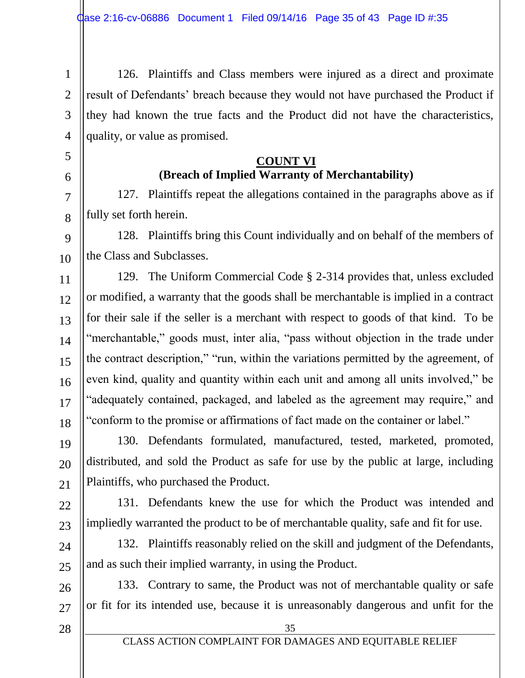1 2 3 4 126. Plaintiffs and Class members were injured as a direct and proximate result of Defendants' breach because they would not have purchased the Product if they had known the true facts and the Product did not have the characteristics, quality, or value as promised.

## **COUNT VI (Breach of Implied Warranty of Merchantability)**

127. Plaintiffs repeat the allegations contained in the paragraphs above as if fully set forth herein.

9 10 128. Plaintiffs bring this Count individually and on behalf of the members of the Class and Subclasses.

11 12 13 14 15 16 17 18 129. The Uniform Commercial Code § 2-314 provides that, unless excluded or modified, a warranty that the goods shall be merchantable is implied in a contract for their sale if the seller is a merchant with respect to goods of that kind. To be "merchantable," goods must, inter alia, "pass without objection in the trade under the contract description," "run, within the variations permitted by the agreement, of even kind, quality and quantity within each unit and among all units involved," be "adequately contained, packaged, and labeled as the agreement may require," and "conform to the promise or affirmations of fact made on the container or label."

19 20 21 130. Defendants formulated, manufactured, tested, marketed, promoted, distributed, and sold the Product as safe for use by the public at large, including Plaintiffs, who purchased the Product.

22 23 131. Defendants knew the use for which the Product was intended and impliedly warranted the product to be of merchantable quality, safe and fit for use.

24 25 132. Plaintiffs reasonably relied on the skill and judgment of the Defendants, and as such their implied warranty, in using the Product.

133. Contrary to same, the Product was not of merchantable quality or safe or fit for its intended use, because it is unreasonably dangerous and unfit for the

28

26

27

5

6

7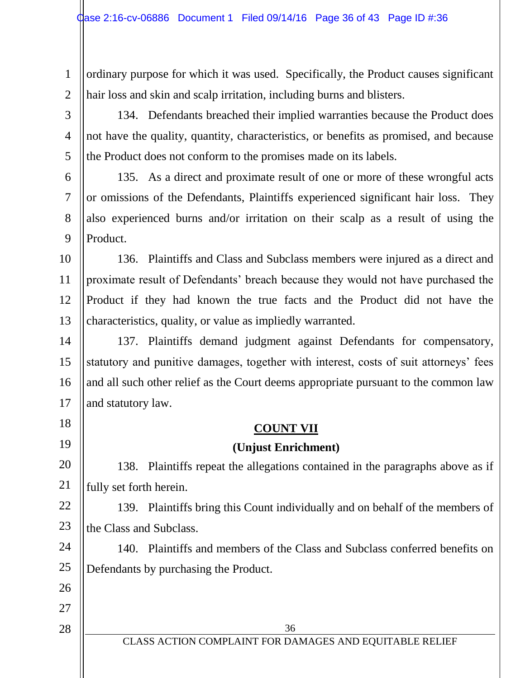3

4

5

18

19

26

27

28

1 2 ordinary purpose for which it was used. Specifically, the Product causes significant hair loss and skin and scalp irritation, including burns and blisters.

134. Defendants breached their implied warranties because the Product does not have the quality, quantity, characteristics, or benefits as promised, and because the Product does not conform to the promises made on its labels.

6 7 8 9 135. As a direct and proximate result of one or more of these wrongful acts or omissions of the Defendants, Plaintiffs experienced significant hair loss. They also experienced burns and/or irritation on their scalp as a result of using the Product.

10 11 12 13 136. Plaintiffs and Class and Subclass members were injured as a direct and proximate result of Defendants' breach because they would not have purchased the Product if they had known the true facts and the Product did not have the characteristics, quality, or value as impliedly warranted.

14 15 16 17 137. Plaintiffs demand judgment against Defendants for compensatory, statutory and punitive damages, together with interest, costs of suit attorneys' fees and all such other relief as the Court deems appropriate pursuant to the common law and statutory law.

# **COUNT VII**

# **(Unjust Enrichment)**

20 21 138. Plaintiffs repeat the allegations contained in the paragraphs above as if fully set forth herein.

22 23 139. Plaintiffs bring this Count individually and on behalf of the members of the Class and Subclass.

24 25 140. Plaintiffs and members of the Class and Subclass conferred benefits on Defendants by purchasing the Product.

36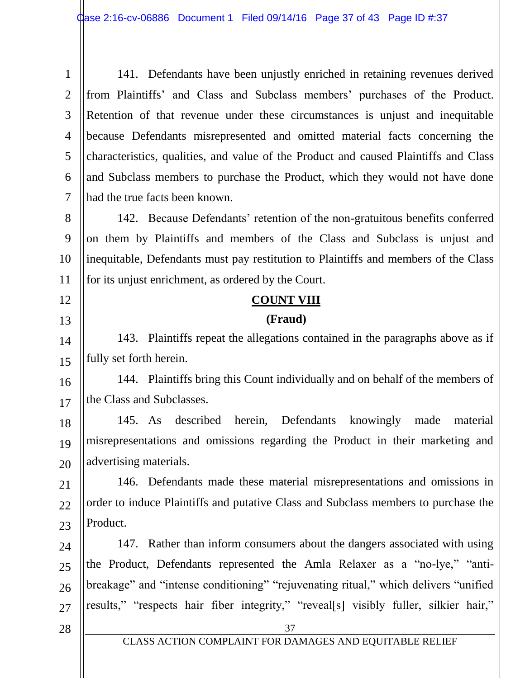1 2 3 4 5 6 7 141. Defendants have been unjustly enriched in retaining revenues derived from Plaintiffs' and Class and Subclass members' purchases of the Product. Retention of that revenue under these circumstances is unjust and inequitable because Defendants misrepresented and omitted material facts concerning the characteristics, qualities, and value of the Product and caused Plaintiffs and Class and Subclass members to purchase the Product, which they would not have done had the true facts been known.

8 9 10 11 142. Because Defendants' retention of the non-gratuitous benefits conferred on them by Plaintiffs and members of the Class and Subclass is unjust and inequitable, Defendants must pay restitution to Plaintiffs and members of the Class for its unjust enrichment, as ordered by the Court.

## **COUNT VIII**

#### **(Fraud)**

143. Plaintiffs repeat the allegations contained in the paragraphs above as if fully set forth herein.

16 17 144. Plaintiffs bring this Count individually and on behalf of the members of the Class and Subclasses.

18 19 20 145. As described herein, Defendants knowingly made material misrepresentations and omissions regarding the Product in their marketing and advertising materials.

21 22 23 146. Defendants made these material misrepresentations and omissions in order to induce Plaintiffs and putative Class and Subclass members to purchase the Product.

24 25 26 27 147. Rather than inform consumers about the dangers associated with using the Product, Defendants represented the Amla Relaxer as a "no-lye," "antibreakage" and "intense conditioning" "rejuvenating ritual," which delivers "unified results," "respects hair fiber integrity," "reveal[s] visibly fuller, silkier hair,"

28

12

13

14

15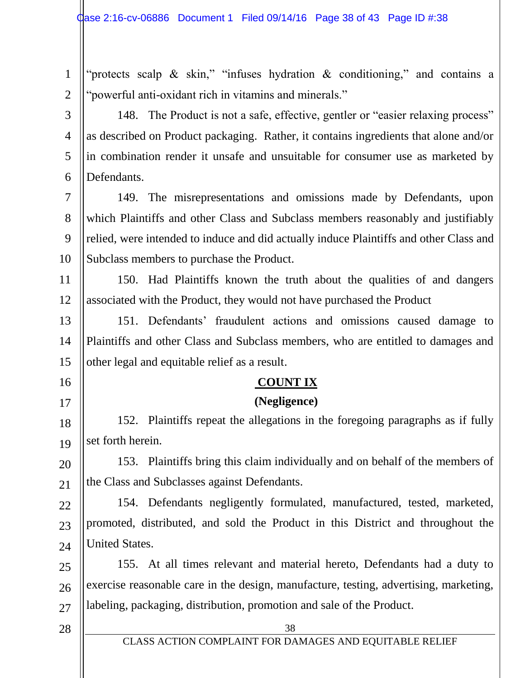1 2 "protects scalp  $\&$  skin," "infuses hydration  $\&$  conditioning," and contains a "powerful anti-oxidant rich in vitamins and minerals."

148. The Product is not a safe, effective, gentler or "easier relaxing process" as described on Product packaging. Rather, it contains ingredients that alone and/or in combination render it unsafe and unsuitable for consumer use as marketed by Defendants.

7 8 9 10 149. The misrepresentations and omissions made by Defendants, upon which Plaintiffs and other Class and Subclass members reasonably and justifiably relied, were intended to induce and did actually induce Plaintiffs and other Class and Subclass members to purchase the Product.

11 12 150. Had Plaintiffs known the truth about the qualities of and dangers associated with the Product, they would not have purchased the Product

13 14 15 151. Defendants' fraudulent actions and omissions caused damage to Plaintiffs and other Class and Subclass members, who are entitled to damages and other legal and equitable relief as a result.

# **COUNT IX**

# **(Negligence)**

18 19 152. Plaintiffs repeat the allegations in the foregoing paragraphs as if fully set forth herein.

20 21 153. Plaintiffs bring this claim individually and on behalf of the members of the Class and Subclasses against Defendants.

22 23 24 154. Defendants negligently formulated, manufactured, tested, marketed, promoted, distributed, and sold the Product in this District and throughout the United States.

25 26 27 155. At all times relevant and material hereto, Defendants had a duty to exercise reasonable care in the design, manufacture, testing, advertising, marketing, labeling, packaging, distribution, promotion and sale of the Product.

28

3

4

5

6

16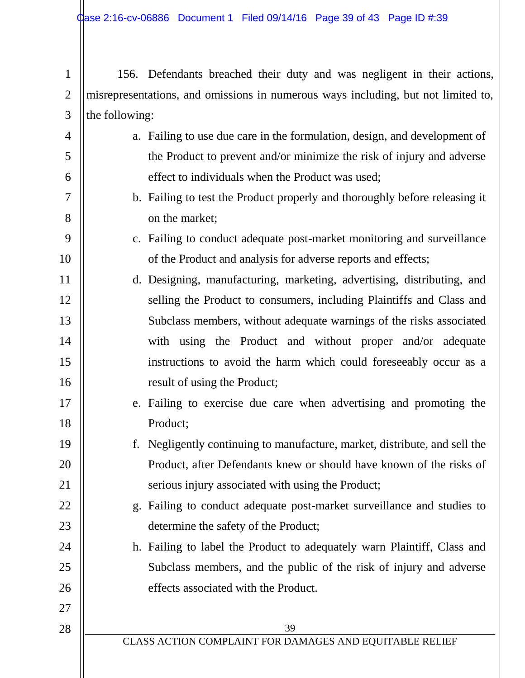4

5

6

7

8

9

10

17

18

22

23

24

25

26

27

28

1 2 3 156. Defendants breached their duty and was negligent in their actions, misrepresentations, and omissions in numerous ways including, but not limited to, the following:

- a. Failing to use due care in the formulation, design, and development of the Product to prevent and/or minimize the risk of injury and adverse effect to individuals when the Product was used;
	- b. Failing to test the Product properly and thoroughly before releasing it on the market;
	- c. Failing to conduct adequate post-market monitoring and surveillance of the Product and analysis for adverse reports and effects;
- 11 12 13 14 15 16 d. Designing, manufacturing, marketing, advertising, distributing, and selling the Product to consumers, including Plaintiffs and Class and Subclass members, without adequate warnings of the risks associated with using the Product and without proper and/or adequate instructions to avoid the harm which could foreseeably occur as a result of using the Product;
	- e. Failing to exercise due care when advertising and promoting the Product;
- 19 20 21 f. Negligently continuing to manufacture, market, distribute, and sell the Product, after Defendants knew or should have known of the risks of serious injury associated with using the Product;
	- g. Failing to conduct adequate post-market surveillance and studies to determine the safety of the Product;
	- h. Failing to label the Product to adequately warn Plaintiff, Class and Subclass members, and the public of the risk of injury and adverse effects associated with the Product.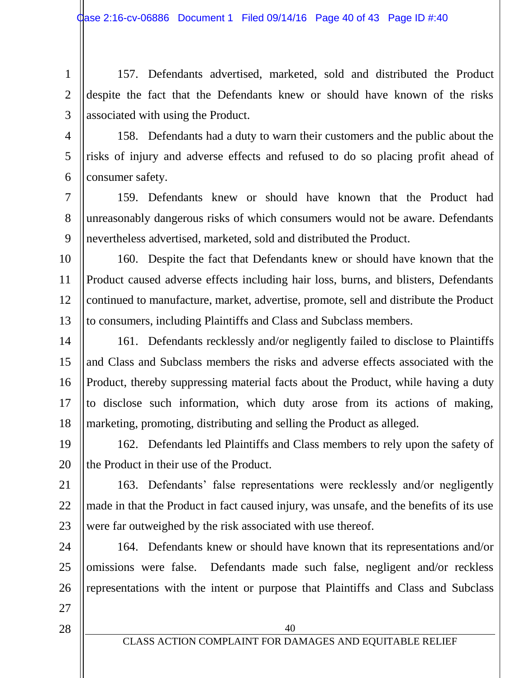1 2 3 157. Defendants advertised, marketed, sold and distributed the Product despite the fact that the Defendants knew or should have known of the risks associated with using the Product.

4 5 6 158. Defendants had a duty to warn their customers and the public about the risks of injury and adverse effects and refused to do so placing profit ahead of consumer safety.

7 8 9 159. Defendants knew or should have known that the Product had unreasonably dangerous risks of which consumers would not be aware. Defendants nevertheless advertised, marketed, sold and distributed the Product.

10 11 12 13 160. Despite the fact that Defendants knew or should have known that the Product caused adverse effects including hair loss, burns, and blisters, Defendants continued to manufacture, market, advertise, promote, sell and distribute the Product to consumers, including Plaintiffs and Class and Subclass members.

14 15 16 17 18 161. Defendants recklessly and/or negligently failed to disclose to Plaintiffs and Class and Subclass members the risks and adverse effects associated with the Product, thereby suppressing material facts about the Product, while having a duty to disclose such information, which duty arose from its actions of making, marketing, promoting, distributing and selling the Product as alleged.

19 20 162. Defendants led Plaintiffs and Class members to rely upon the safety of the Product in their use of the Product.

21 22 23 163. Defendants' false representations were recklessly and/or negligently made in that the Product in fact caused injury, was unsafe, and the benefits of its use were far outweighed by the risk associated with use thereof.

24 25 26 164. Defendants knew or should have known that its representations and/or omissions were false. Defendants made such false, negligent and/or reckless representations with the intent or purpose that Plaintiffs and Class and Subclass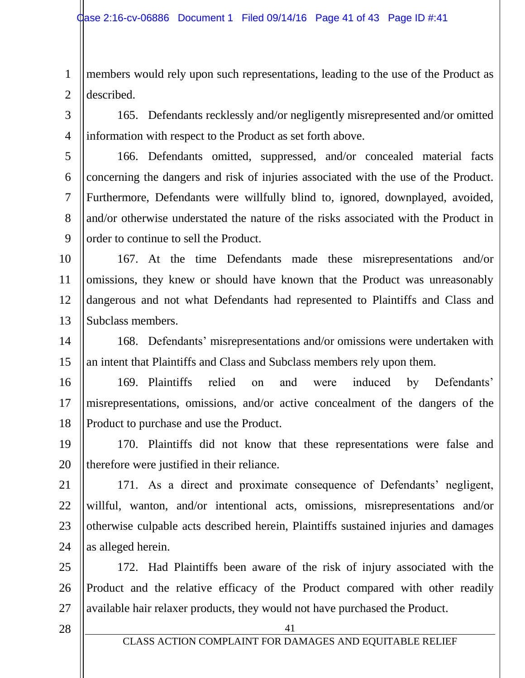1 2 members would rely upon such representations, leading to the use of the Product as described.

3 4

5

6

7

8

9

165. Defendants recklessly and/or negligently misrepresented and/or omitted information with respect to the Product as set forth above.

166. Defendants omitted, suppressed, and/or concealed material facts concerning the dangers and risk of injuries associated with the use of the Product. Furthermore, Defendants were willfully blind to, ignored, downplayed, avoided, and/or otherwise understated the nature of the risks associated with the Product in order to continue to sell the Product.

10 11 12 13 167. At the time Defendants made these misrepresentations and/or omissions, they knew or should have known that the Product was unreasonably dangerous and not what Defendants had represented to Plaintiffs and Class and Subclass members.

14 15 168. Defendants' misrepresentations and/or omissions were undertaken with an intent that Plaintiffs and Class and Subclass members rely upon them.

16 17 18 169. Plaintiffs relied on and were induced by Defendants' misrepresentations, omissions, and/or active concealment of the dangers of the Product to purchase and use the Product.

19 20 170. Plaintiffs did not know that these representations were false and therefore were justified in their reliance.

21 22 23 24 171. As a direct and proximate consequence of Defendants' negligent, willful, wanton, and/or intentional acts, omissions, misrepresentations and/or otherwise culpable acts described herein, Plaintiffs sustained injuries and damages as alleged herein.

25 26 27 172. Had Plaintiffs been aware of the risk of injury associated with the Product and the relative efficacy of the Product compared with other readily available hair relaxer products, they would not have purchased the Product.

28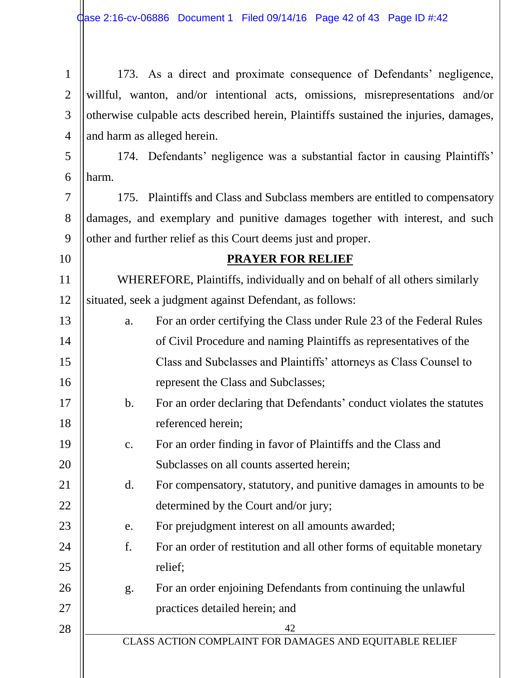| $\mathbf{1}$   |                                                                                       | 173. As a direct and proximate consequence of Defendants' negligence,          |  |
|----------------|---------------------------------------------------------------------------------------|--------------------------------------------------------------------------------|--|
| $\overline{2}$ |                                                                                       | willful, wanton, and/or intentional acts, omissions, misrepresentations and/or |  |
| 3              | otherwise culpable acts described herein, Plaintiffs sustained the injuries, damages, |                                                                                |  |
| $\overline{4}$ | and harm as alleged herein.                                                           |                                                                                |  |
| 5              |                                                                                       | 174. Defendants' negligence was a substantial factor in causing Plaintiffs'    |  |
| 6              | harm.                                                                                 |                                                                                |  |
| 7              |                                                                                       | 175. Plaintiffs and Class and Subclass members are entitled to compensatory    |  |
| 8              | damages, and exemplary and punitive damages together with interest, and such          |                                                                                |  |
| 9              |                                                                                       | other and further relief as this Court deems just and proper.                  |  |
| 10             |                                                                                       | <b>PRAYER FOR RELIEF</b>                                                       |  |
| 11             |                                                                                       | WHEREFORE, Plaintiffs, individually and on behalf of all others similarly      |  |
| 12             |                                                                                       | situated, seek a judgment against Defendant, as follows:                       |  |
| 13             | a.                                                                                    | For an order certifying the Class under Rule 23 of the Federal Rules           |  |
| 14             |                                                                                       | of Civil Procedure and naming Plaintiffs as representatives of the             |  |
| 15             |                                                                                       | Class and Subclasses and Plaintiffs' attorneys as Class Counsel to             |  |
| 16             |                                                                                       | represent the Class and Subclasses;                                            |  |
| 17             | $\mathbf b$ .                                                                         | For an order declaring that Defendants' conduct violates the statutes          |  |
| 18             |                                                                                       | referenced herein;                                                             |  |
| 19             | $\mathbf{c}$ .                                                                        | For an order finding in favor of Plaintiffs and the Class and                  |  |
| 20             |                                                                                       | Subclasses on all counts asserted herein;                                      |  |
| 21             | d.                                                                                    | For compensatory, statutory, and punitive damages in amounts to be             |  |
| 22             |                                                                                       | determined by the Court and/or jury;                                           |  |
| 23             | e.                                                                                    | For prejudgment interest on all amounts awarded;                               |  |
| 24             | f.                                                                                    | For an order of restitution and all other forms of equitable monetary          |  |
| 25             |                                                                                       | relief;                                                                        |  |
| 26             | g.                                                                                    | For an order enjoining Defendants from continuing the unlawful                 |  |
| 27             |                                                                                       | practices detailed herein; and                                                 |  |
| 28             |                                                                                       | 42                                                                             |  |
|                |                                                                                       | CLASS ACTION COMPLAINT FOR DAMAGES AND EQUITABLE RELIEF                        |  |
|                |                                                                                       |                                                                                |  |